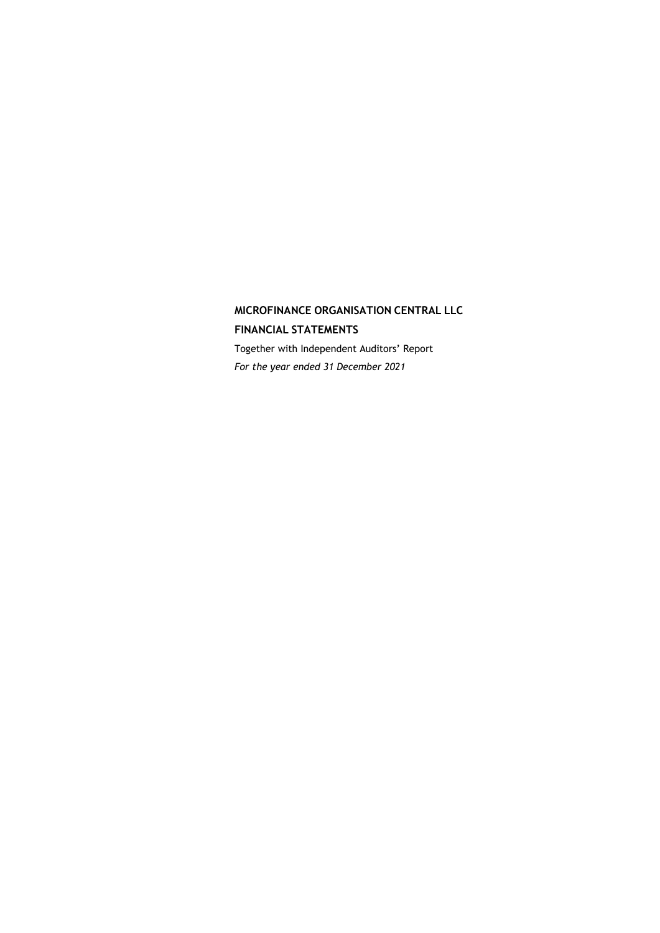# **MICROFINANCE ORGANISATION CENTRAL LLC FINANCIAL STATEMENTS**

Together with Independent Auditors' Report *For the year ended 31 December 2021*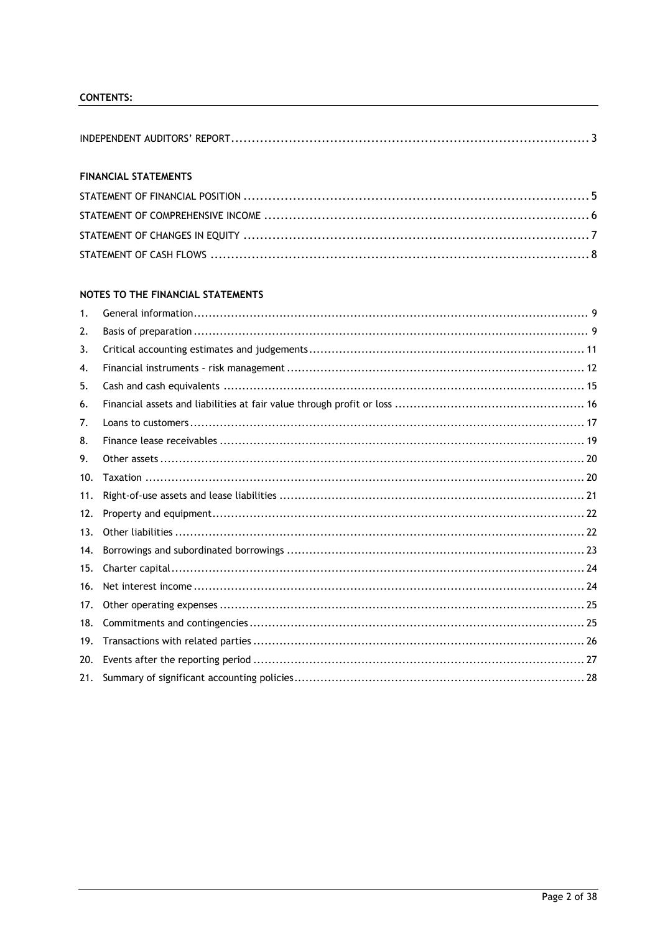# **CONTENTS:**

# **FINANCIAL STATEMENTS**

# NOTES TO THE FINANCIAL STATEMENTS

| 1.  |  |
|-----|--|
| 2.  |  |
| 3.  |  |
| 4.  |  |
| 5.  |  |
| 6.  |  |
| 7.  |  |
| 8.  |  |
| 9.  |  |
| 10. |  |
| 11. |  |
| 12. |  |
| 13. |  |
| 14. |  |
| 15. |  |
| 16. |  |
| 17. |  |
| 18. |  |
| 19. |  |
| 20. |  |
| 21. |  |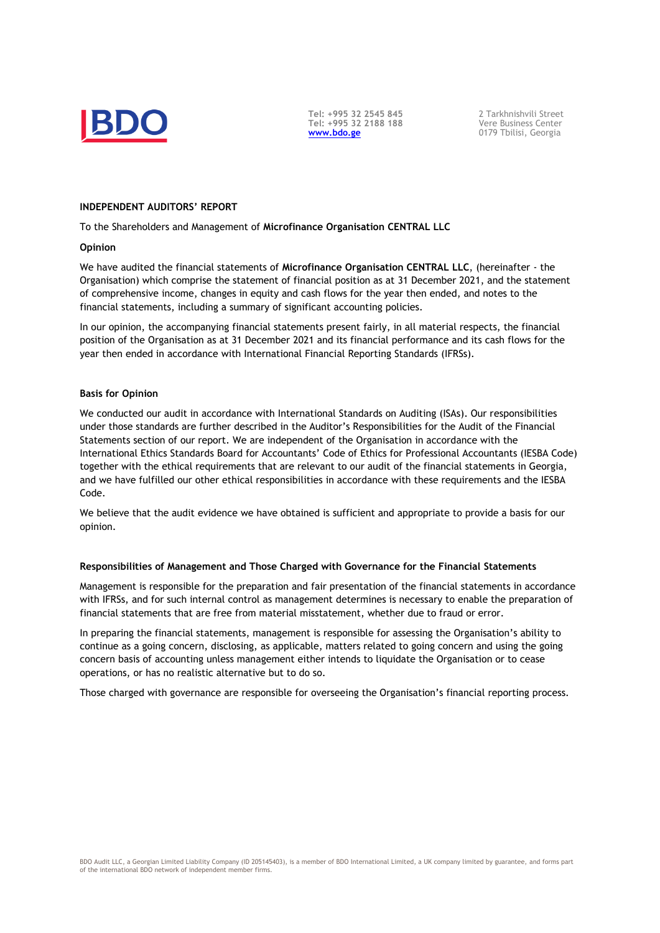

**Tel: +995 32 2545 845 Tel: +995 32 2188 188 [www.bdo.ge](http://www.bdo.ge/)**

2 Tarkhnishvili Street Vere Business Center 0179 Tbilisi, Georgia

#### <span id="page-2-0"></span>**INDEPENDENT AUDITORS' REPORT**

To the Shareholders and Management of **Microfinance Organisation CENTRAL LLC**

#### **Opinion**

We have audited the financial statements of **Microfinance Organisation CENTRAL LLC**, (hereinafter - the Organisation) which comprise the statement of financial position as at 31 December 2021, and the statement of comprehensive income, changes in equity and cash flows for the year then ended, and notes to the financial statements, including a summary of significant accounting policies.

In our opinion, the accompanying financial statements present fairly, in all material respects, the financial position of the Organisation as at 31 December 2021 and its financial performance and its cash flows for the year then ended in accordance with International Financial Reporting Standards (IFRSs).

#### **Basis for Opinion**

We conducted our audit in accordance with International Standards on Auditing (ISAs). Our responsibilities under those standards are further described in the Auditor's Responsibilities for the Audit of the Financial Statements section of our report. We are independent of the Organisation in accordance with the International Ethics Standards Board for Accountants' Code of Ethics for Professional Accountants (IESBA Code) together with the ethical requirements that are relevant to our audit of the financial statements in Georgia, and we have fulfilled our other ethical responsibilities in accordance with these requirements and the IESBA Code.

We believe that the audit evidence we have obtained is sufficient and appropriate to provide a basis for our opinion.

#### **Responsibilities of Management and Those Charged with Governance for the Financial Statements**

Management is responsible for the preparation and fair presentation of the financial statements in accordance with IFRSs, and for such internal control as management determines is necessary to enable the preparation of financial statements that are free from material misstatement, whether due to fraud or error.

In preparing the financial statements, management is responsible for assessing the Organisation's ability to continue as a going concern, disclosing, as applicable, matters related to going concern and using the going concern basis of accounting unless management either intends to liquidate the Organisation or to cease operations, or has no realistic alternative but to do so.

Those charged with governance are responsible for overseeing the Organisation's financial reporting process.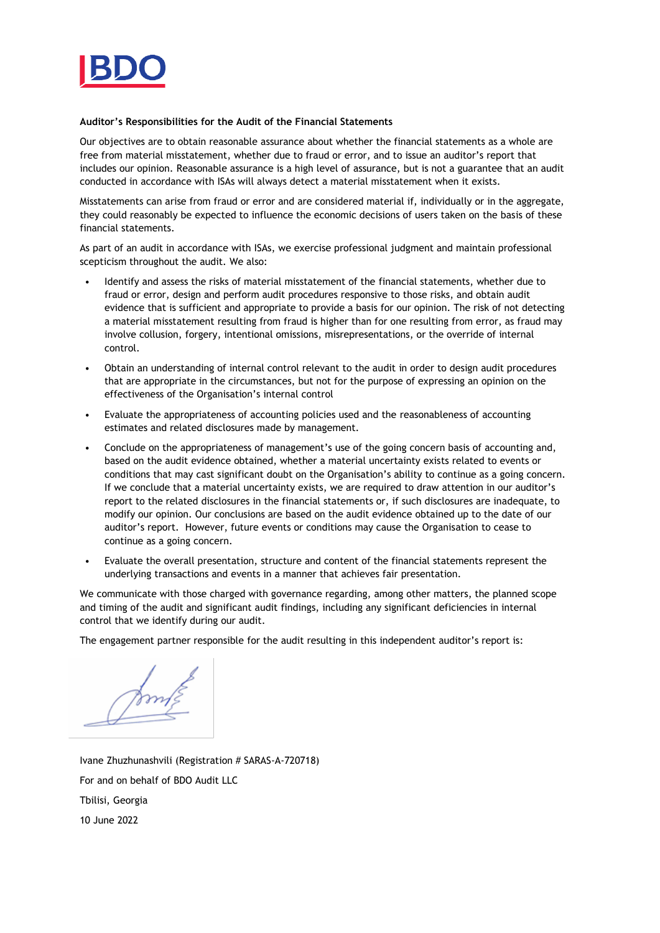

#### **Auditor's Responsibilities for the Audit of the Financial Statements**

Our objectives are to obtain reasonable assurance about whether the financial statements as a whole are free from material misstatement, whether due to fraud or error, and to issue an auditor's report that includes our opinion. Reasonable assurance is a high level of assurance, but is not a guarantee that an audit conducted in accordance with ISAs will always detect a material misstatement when it exists.

Misstatements can arise from fraud or error and are considered material if, individually or in the aggregate, they could reasonably be expected to influence the economic decisions of users taken on the basis of these financial statements.

As part of an audit in accordance with ISAs, we exercise professional judgment and maintain professional scepticism throughout the audit. We also:

- Identify and assess the risks of material misstatement of the financial statements, whether due to fraud or error, design and perform audit procedures responsive to those risks, and obtain audit evidence that is sufficient and appropriate to provide a basis for our opinion. The risk of not detecting a material misstatement resulting from fraud is higher than for one resulting from error, as fraud may involve collusion, forgery, intentional omissions, misrepresentations, or the override of internal control.
- Obtain an understanding of internal control relevant to the audit in order to design audit procedures that are appropriate in the circumstances, but not for the purpose of expressing an opinion on the effectiveness of the Organisation's internal control
- Evaluate the appropriateness of accounting policies used and the reasonableness of accounting estimates and related disclosures made by management.
- Conclude on the appropriateness of management's use of the going concern basis of accounting and, based on the audit evidence obtained, whether a material uncertainty exists related to events or conditions that may cast significant doubt on the Organisation's ability to continue as a going concern. If we conclude that a material uncertainty exists, we are required to draw attention in our auditor's report to the related disclosures in the financial statements or, if such disclosures are inadequate, to modify our opinion. Our conclusions are based on the audit evidence obtained up to the date of our auditor's report. However, future events or conditions may cause the Organisation to cease to continue as a going concern.
- Evaluate the overall presentation, structure and content of the financial statements represent the underlying transactions and events in a manner that achieves fair presentation.

We communicate with those charged with governance regarding, among other matters, the planned scope and timing of the audit and significant audit findings, including any significant deficiencies in internal control that we identify during our audit.

The engagement partner responsible for the audit resulting in this independent auditor's report is:

Ivane Zhuzhunashvili (Registration # SARAS-A-720718) For and on behalf of BDO Audit LLC Tbilisi, Georgia 10 June 2022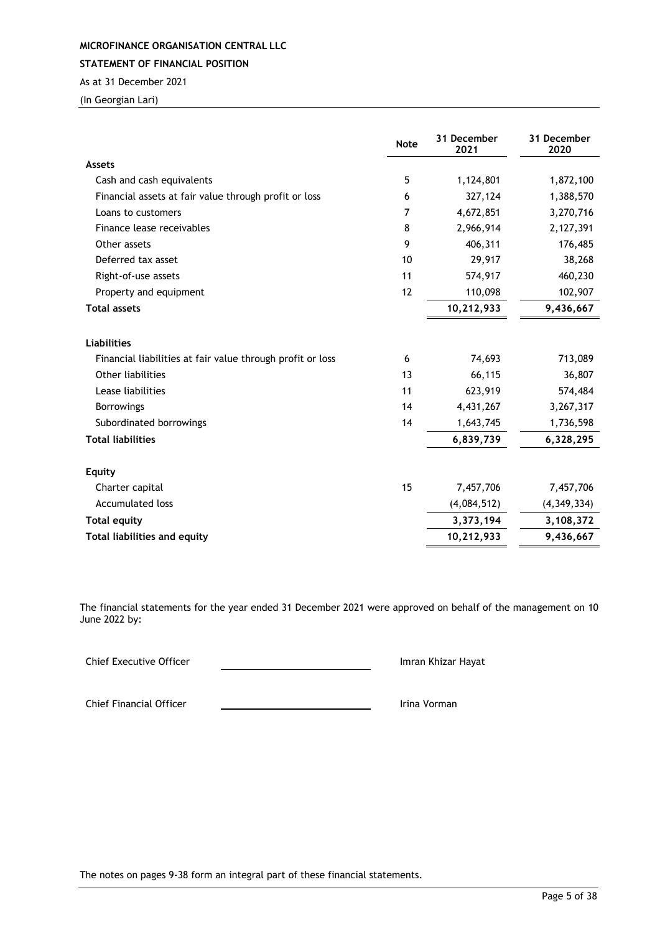<span id="page-4-0"></span>**STATEMENT OF FINANCIAL POSITION**

As at 31 December 2021

(In Georgian Lari)

|                                                            | <b>Note</b> | 31 December<br>2021 | 31 December<br>2020 |
|------------------------------------------------------------|-------------|---------------------|---------------------|
| <b>Assets</b>                                              |             |                     |                     |
| Cash and cash equivalents                                  | 5           | 1,124,801           | 1,872,100           |
| Financial assets at fair value through profit or loss      | 6           | 327,124             | 1,388,570           |
| Loans to customers                                         | 7           | 4,672,851           | 3,270,716           |
| Finance lease receivables                                  | 8           | 2,966,914           | 2,127,391           |
| Other assets                                               | 9           | 406,311             | 176,485             |
| Deferred tax asset                                         | 10          | 29,917              | 38,268              |
| Right-of-use assets                                        | 11          | 574,917             | 460,230             |
| Property and equipment                                     | 12          | 110,098             | 102,907             |
| <b>Total assets</b>                                        |             | 10,212,933          | 9,436,667           |
| <b>Liabilities</b>                                         |             |                     |                     |
| Financial liabilities at fair value through profit or loss | 6           | 74,693              | 713,089             |
| Other liabilities                                          | 13          | 66,115              | 36,807              |
| Lease liabilities                                          | 11          | 623,919             | 574,484             |
| <b>Borrowings</b>                                          | 14          | 4,431,267           | 3,267,317           |
| Subordinated borrowings                                    | 14          | 1,643,745           | 1,736,598           |
| <b>Total liabilities</b>                                   |             | 6,839,739           | 6,328,295           |
| <b>Equity</b>                                              |             |                     |                     |
| Charter capital                                            | 15          | 7,457,706           | 7,457,706           |
| <b>Accumulated loss</b>                                    |             | (4,084,512)         | (4,349,334)         |
| <b>Total equity</b>                                        |             | 3,373,194           | 3,108,372           |
| <b>Total liabilities and equity</b>                        |             | 10,212,933          | 9,436,667           |

The financial statements for the year ended 31 December 2021 were approved on behalf of the management on 10 June 2022 by:

Chief Executive Officer **Imran Khizar Hayat** Imran Khizar Hayat

Chief Financial Officer **International Chief Financial Officer International Chief Financial Officer**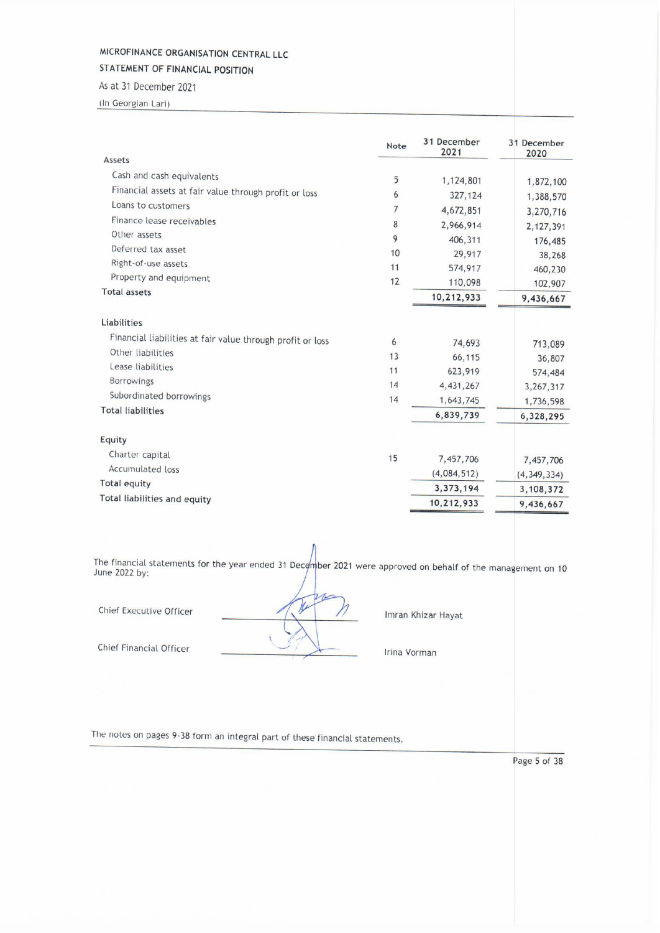STATEMENT OF FINANCIAL POSITION

As at 31 December 2021 (In Georgian Lari)

|                                                            | Note           | 31 December<br>2021 | 31 December<br>2020 |
|------------------------------------------------------------|----------------|---------------------|---------------------|
| Assets                                                     |                |                     |                     |
| Cash and cash equivalents                                  | 5              | 1,124,801           | 1,872,100           |
| Financial assets at fair value through profit or loss      | 6              | 327,124             | 1,388,570           |
| Loans to customers                                         | $\overline{7}$ | 4,672,851           | 3,270,716           |
| Finance lease receivables                                  | 8              | 2,966,914           | 2, 127, 391         |
| Other assets                                               | 9              | 406,311             |                     |
| Deferred tax asset                                         | 10             | 29,917              | 176,485<br>38,268   |
| Right-of-use assets                                        | 11             | 574,917             | 460,230             |
| Property and equipment                                     | 12             | 110,098             | 102,907             |
| <b>Total assets</b>                                        |                | 10,212,933          | 9,436,667           |
| <b>Liabilities</b>                                         |                |                     |                     |
| Financial liabilities at fair value through profit or loss | 6              | 74,693              | 713,089             |
| Other liabilities                                          | 13             | 66,115              | 36,807              |
| Lease liabilities                                          | 11             | 623,919             | 574,484             |
| <b>Borrowings</b>                                          | 14             | 4, 431, 267         | 3,267,317           |
| Subordinated borrowings                                    | 14             | 1,643,745           | 1,736,598           |
| <b>Total liabilities</b>                                   |                | 6,839,739           | 6,328,295           |
| Equity                                                     |                |                     |                     |
| Charter capital                                            | 15             | 7,457,706           |                     |
| Accumulated loss                                           |                | (4,084,512)         | 7,457,706           |
| Total equity                                               |                |                     | (4, 349, 334)       |
| Total liabilities and equity                               |                | 3,373,194           | 3,108,372           |
|                                                            |                | 10,212,933          | 9,436,667           |

The financial statements for the year ended 31 December 2021 were approved on behalf of the management on 10 June 2022 by:

1.

Ŋ

Chief Executive Officer

Chief Financial Officer

Imran Khizar Hayat

Irina Vorman

The notes on pages 9-38 form an integral part of these financial statements.

Page 5 of 38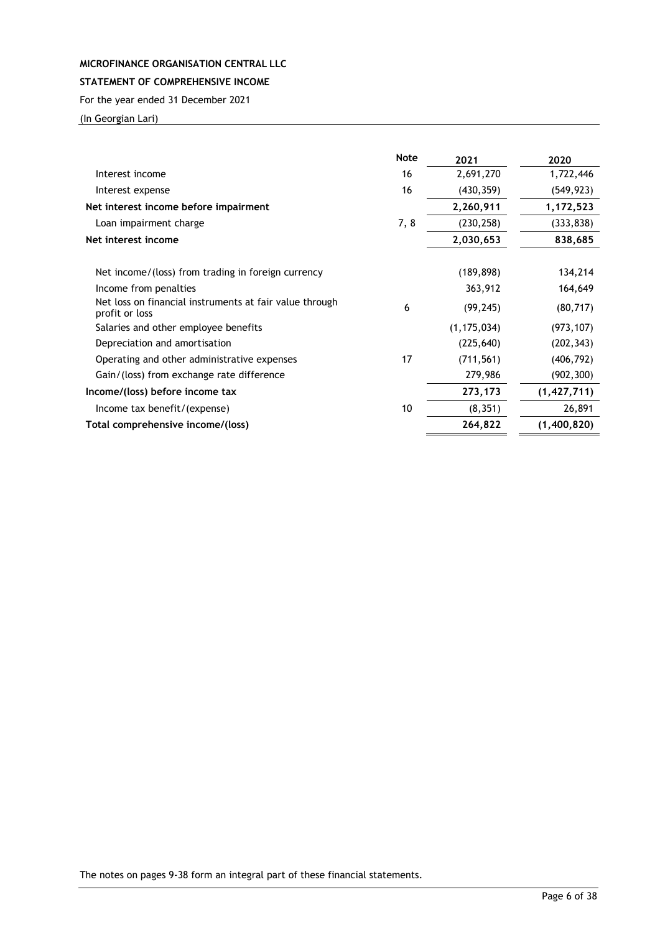# <span id="page-6-0"></span>**STATEMENT OF COMPREHENSIVE INCOME**

For the year ended 31 December 2021

(In Georgian Lari)

|                                                                           | <b>Note</b> | 2021          | 2020          |
|---------------------------------------------------------------------------|-------------|---------------|---------------|
| Interest income                                                           | 16          | 2,691,270     | 1,722,446     |
| Interest expense                                                          | 16          | (430, 359)    | (549, 923)    |
| Net interest income before impairment                                     |             | 2,260,911     | 1,172,523     |
| Loan impairment charge                                                    | 7,8         | (230, 258)    | (333, 838)    |
| Net interest income                                                       |             | 2,030,653     | 838,685       |
| Net income/(loss) from trading in foreign currency                        |             | (189, 898)    | 134,214       |
| Income from penalties                                                     |             | 363,912       | 164,649       |
| Net loss on financial instruments at fair value through<br>profit or loss | 6           | (99, 245)     | (80, 717)     |
| Salaries and other employee benefits                                      |             | (1, 175, 034) | (973, 107)    |
| Depreciation and amortisation                                             |             | (225, 640)    | (202, 343)    |
| Operating and other administrative expenses                               | 17          | (711, 561)    | (406, 792)    |
| Gain/(loss) from exchange rate difference                                 |             | 279,986       | (902, 300)    |
| Income/(loss) before income tax                                           |             | 273,173       | (1, 427, 711) |
| Income tax benefit/(expense)                                              | 10          | (8, 351)      | 26,891        |
| Total comprehensive income/(loss)                                         |             | 264,822       | (1,400,820)   |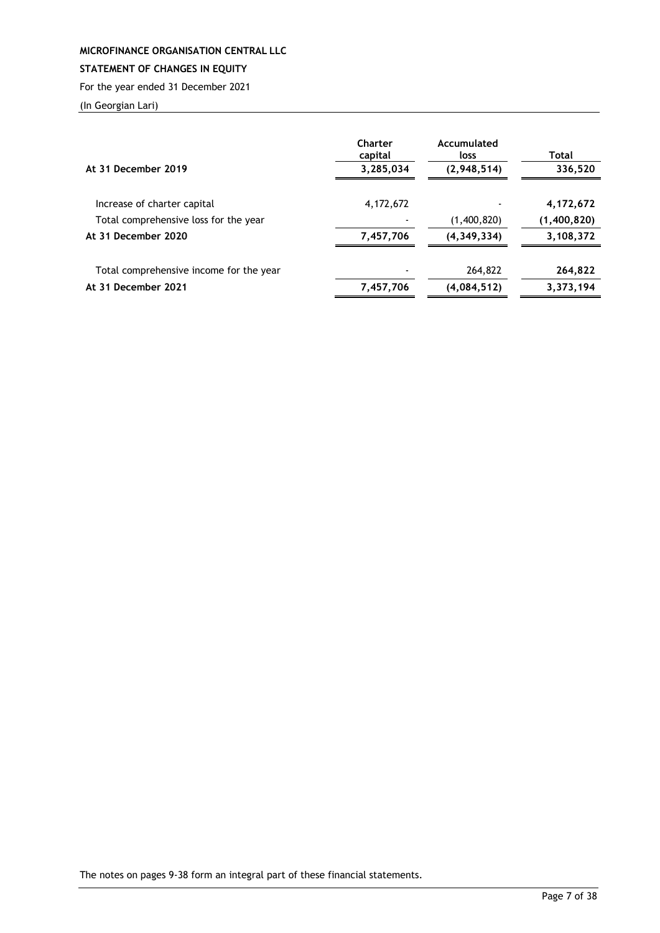# <span id="page-7-0"></span>**STATEMENT OF CHANGES IN EQUITY**

For the year ended 31 December 2021

(In Georgian Lari)

| At 31 December 2019                     | Charter<br>capital<br>3,285,034 | Accumulated<br>loss<br>(2,948,514) | Total<br>336,520 |
|-----------------------------------------|---------------------------------|------------------------------------|------------------|
| Increase of charter capital             | 4, 172, 672                     |                                    | 4,172,672        |
| Total comprehensive loss for the year   |                                 | (1,400,820)                        | (1,400,820)      |
| At 31 December 2020                     | 7,457,706                       | (4, 349, 334)                      | 3,108,372        |
| Total comprehensive income for the year |                                 | 264,822                            | 264,822          |
| At 31 December 2021                     | 7,457,706                       | (4,084,512)                        | 3,373,194        |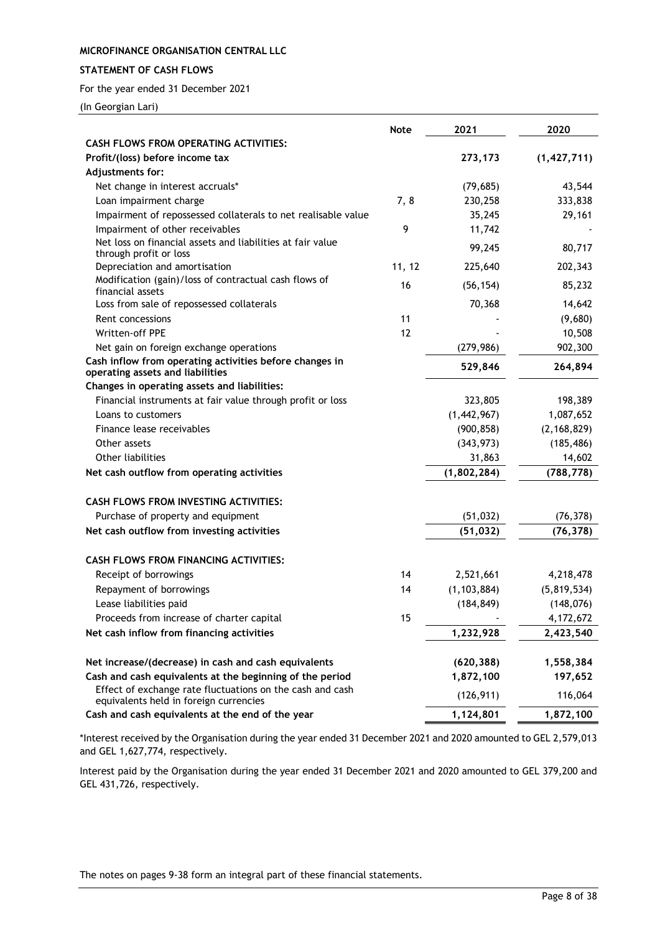### <span id="page-8-0"></span>**STATEMENT OF CASH FLOWS**

For the year ended 31 December 2021

(In Georgian Lari)

|                                                                                                     | <b>Note</b> | 2021          | 2020          |
|-----------------------------------------------------------------------------------------------------|-------------|---------------|---------------|
| <b>CASH FLOWS FROM OPERATING ACTIVITIES:</b>                                                        |             |               |               |
| Profit/(loss) before income tax                                                                     |             | 273,173       | (1, 427, 711) |
| Adjustments for:                                                                                    |             |               |               |
| Net change in interest accruals*                                                                    |             | (79, 685)     | 43,544        |
| Loan impairment charge                                                                              | 7,8         | 230,258       | 333,838       |
| Impairment of repossessed collaterals to net realisable value                                       |             | 35,245        | 29,161        |
| Impairment of other receivables                                                                     | 9           | 11,742        |               |
| Net loss on financial assets and liabilities at fair value<br>through profit or loss                |             | 99,245        | 80,717        |
| Depreciation and amortisation                                                                       | 11, 12      | 225,640       | 202,343       |
| Modification (gain)/loss of contractual cash flows of<br>financial assets                           | 16          | (56, 154)     | 85,232        |
| Loss from sale of repossessed collaterals                                                           |             | 70,368        | 14,642        |
| Rent concessions                                                                                    | 11          |               | (9,680)       |
| Written-off PPE                                                                                     | 12          |               | 10,508        |
| Net gain on foreign exchange operations                                                             |             | (279, 986)    | 902,300       |
| Cash inflow from operating activities before changes in<br>operating assets and liabilities         |             | 529,846       | 264,894       |
| Changes in operating assets and liabilities:                                                        |             |               |               |
| Financial instruments at fair value through profit or loss                                          |             | 323,805       | 198,389       |
| Loans to customers                                                                                  |             | (1,442,967)   | 1,087,652     |
| Finance lease receivables                                                                           |             | (900, 858)    | (2, 168, 829) |
| Other assets                                                                                        |             | (343, 973)    | (185, 486)    |
| Other liabilities                                                                                   |             | 31,863        | 14,602        |
| Net cash outflow from operating activities                                                          |             | (1,802,284)   | (788, 778)    |
| <b>CASH FLOWS FROM INVESTING ACTIVITIES:</b>                                                        |             |               |               |
| Purchase of property and equipment                                                                  |             | (51, 032)     | (76, 378)     |
| Net cash outflow from investing activities                                                          |             | (51, 032)     | (76, 378)     |
| <b>CASH FLOWS FROM FINANCING ACTIVITIES:</b>                                                        |             |               |               |
| Receipt of borrowings                                                                               | 14          | 2,521,661     | 4,218,478     |
| Repayment of borrowings                                                                             | 14          | (1, 103, 884) | (5,819,534)   |
| Lease liabilities paid                                                                              |             | (184, 849)    | (148, 076)    |
| Proceeds from increase of charter capital                                                           | 15          |               | 4,172,672     |
| Net cash inflow from financing activities                                                           |             | 1,232,928     | 2,423,540     |
|                                                                                                     |             |               |               |
| Net increase/(decrease) in cash and cash equivalents                                                |             | (620, 388)    | 1,558,384     |
| Cash and cash equivalents at the beginning of the period                                            |             | 1,872,100     | 197,652       |
| Effect of exchange rate fluctuations on the cash and cash<br>equivalents held in foreign currencies |             | (126, 911)    | 116,064       |
| Cash and cash equivalents at the end of the year                                                    |             | 1,124,801     | 1,872,100     |

\*Interest received by the Organisation during the year ended 31 December 2021 and 2020 amounted to GEL 2,579,013 and GEL 1,627,774, respectively.

Interest paid by the Organisation during the year ended 31 December 2021 and 2020 amounted to GEL 379,200 and GEL 431,726, respectively.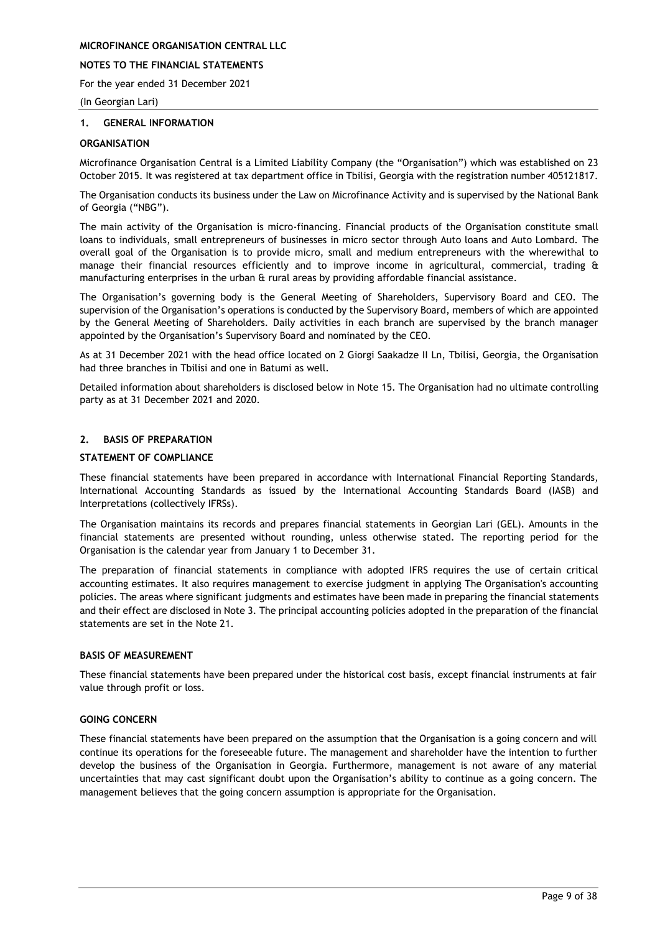### **NOTES TO THE FINANCIAL STATEMENTS**

For the year ended 31 December 2021

(In Georgian Lari)

#### <span id="page-9-0"></span>**1. GENERAL INFORMATION**

#### **ORGANISATION**

Microfinance Organisation Central is a Limited Liability Company (the "Organisation") which was established on 23 October 2015. It was registered at tax department office in Tbilisi, Georgia with the registration number 405121817.

The Organisation conducts its business under the Law on Microfinance Activity and is supervised by the National Bank of Georgia ("NBG").

The main activity of the Organisation is micro-financing. Financial products of the Organisation constitute small loans to individuals, small entrepreneurs of businesses in micro sector through Auto loans and Auto Lombard. The overall goal of the Organisation is to provide micro, small and medium entrepreneurs with the wherewithal to manage their financial resources efficiently and to improve income in agricultural, commercial, trading & manufacturing enterprises in the urban & rural areas by providing affordable financial assistance.

The Organisation's governing body is the General Meeting of Shareholders, Supervisory Board and CEO. The supervision of the Organisation's operations is conducted by the Supervisory Board, members of which are appointed by the General Meeting of Shareholders. Daily activities in each branch are supervised by the branch manager appointed by the Organisation's Supervisory Board and nominated by the CEO.

As at 31 December 2021 with the head office located on 2 Giorgi Saakadze II Ln, Tbilisi, Georgia, the Organisation had three branches in Tbilisi and one in Batumi as well.

Detailed information about shareholders is disclosed below in Note 15. The Organisation had no ultimate controlling party as at 31 December 2021 and 2020.

#### <span id="page-9-1"></span>**2. BASIS OF PREPARATION**

#### **STATEMENT OF COMPLIANCE**

These financial statements have been prepared in accordance with International Financial Reporting Standards, International Accounting Standards as issued by the International Accounting Standards Board (IASB) and Interpretations (collectively IFRSs).

The Organisation maintains its records and prepares financial statements in Georgian Lari (GEL). Amounts in the financial statements are presented without rounding, unless otherwise stated. The reporting period for the Organisation is the calendar year from January 1 to December 31.

The preparation of financial statements in compliance with adopted IFRS requires the use of certain critical accounting estimates. It also requires management to exercise judgment in applying The Organisation's accounting policies. The areas where significant judgments and estimates have been made in preparing the financial statements and their effect are disclosed in Note 3. The principal accounting policies adopted in the preparation of the financial statements are set in the Note 21.

#### **BASIS OF MEASUREMENT**

These financial statements have been prepared under the historical cost basis, except financial instruments at fair value through profit or loss.

### **GOING CONCERN**

These financial statements have been prepared on the assumption that the Organisation is a going concern and will continue its operations for the foreseeable future. The management and shareholder have the intention to further develop the business of the Organisation in Georgia. Furthermore, management is not aware of any material uncertainties that may cast significant doubt upon the Organisation's ability to continue as a going concern. The management believes that the going concern assumption is appropriate for the Organisation.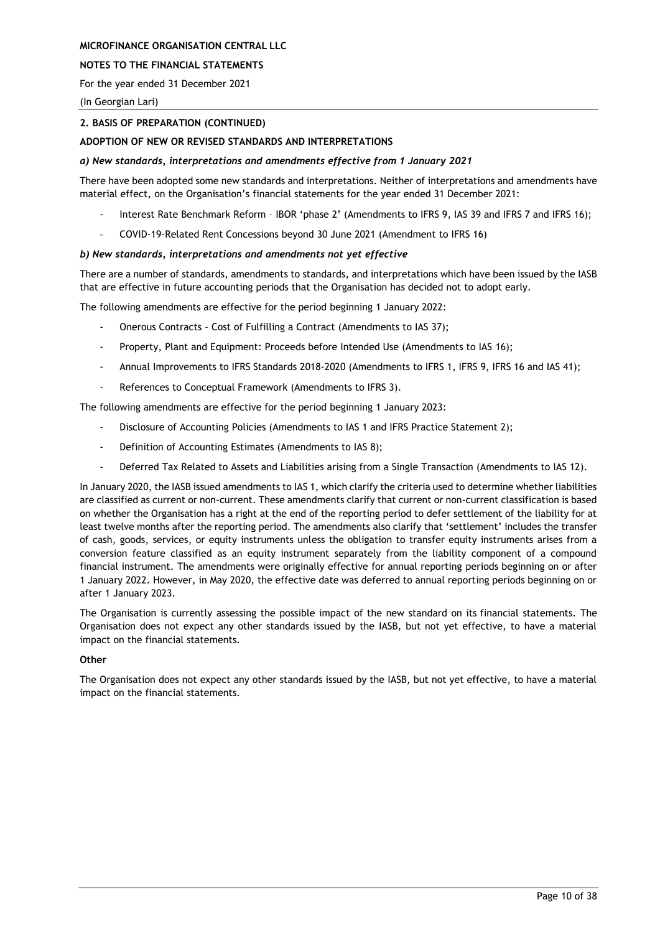### **NOTES TO THE FINANCIAL STATEMENTS**

For the year ended 31 December 2021

(In Georgian Lari)

### **2. BASIS OF PREPARATION (CONTINUED)**

### **ADOPTION OF NEW OR REVISED STANDARDS AND INTERPRETATIONS**

### *a) New standards, interpretations and amendments effective from 1 January 2021*

There have been adopted some new standards and interpretations. Neither of interpretations and amendments have material effect, on the Organisation's financial statements for the year ended 31 December 2021:

- Interest Rate Benchmark Reform IBOR 'phase 2' (Amendments to IFRS 9, IAS 39 and IFRS 7 and IFRS 16);
- COVID-19-Related Rent Concessions beyond 30 June 2021 (Amendment to IFRS 16)

#### *b) New standards, interpretations and amendments not yet effective*

There are a number of standards, amendments to standards, and interpretations which have been issued by the IASB that are effective in future accounting periods that the Organisation has decided not to adopt early.

The following amendments are effective for the period beginning 1 January 2022:

- Onerous Contracts Cost of Fulfilling a Contract (Amendments to IAS 37);
- Property, Plant and Equipment: Proceeds before Intended Use (Amendments to IAS 16);
- Annual Improvements to IFRS Standards 2018-2020 (Amendments to IFRS 1, IFRS 9, IFRS 16 and IAS 41);
- References to Conceptual Framework (Amendments to IFRS 3).

The following amendments are effective for the period beginning 1 January 2023:

- Disclosure of Accounting Policies (Amendments to IAS 1 and IFRS Practice Statement 2);
- Definition of Accounting Estimates (Amendments to IAS 8);
- Deferred Tax Related to Assets and Liabilities arising from a Single Transaction (Amendments to IAS 12).

In January 2020, the IASB issued amendments to IAS 1, which clarify the criteria used to determine whether liabilities are classified as current or non-current. These amendments clarify that current or non-current classification is based on whether the Organisation has a right at the end of the reporting period to defer settlement of the liability for at least twelve months after the reporting period. The amendments also clarify that 'settlement' includes the transfer of cash, goods, services, or equity instruments unless the obligation to transfer equity instruments arises from a conversion feature classified as an equity instrument separately from the liability component of a compound financial instrument. The amendments were originally effective for annual reporting periods beginning on or after 1 January 2022. However, in May 2020, the effective date was deferred to annual reporting periods beginning on or after 1 January 2023.

The Organisation is currently assessing the possible impact of the new standard on its financial statements. The Organisation does not expect any other standards issued by the IASB, but not yet effective, to have a material impact on the financial statements.

#### **Other**

The Organisation does not expect any other standards issued by the IASB, but not yet effective, to have a material impact on the financial statements.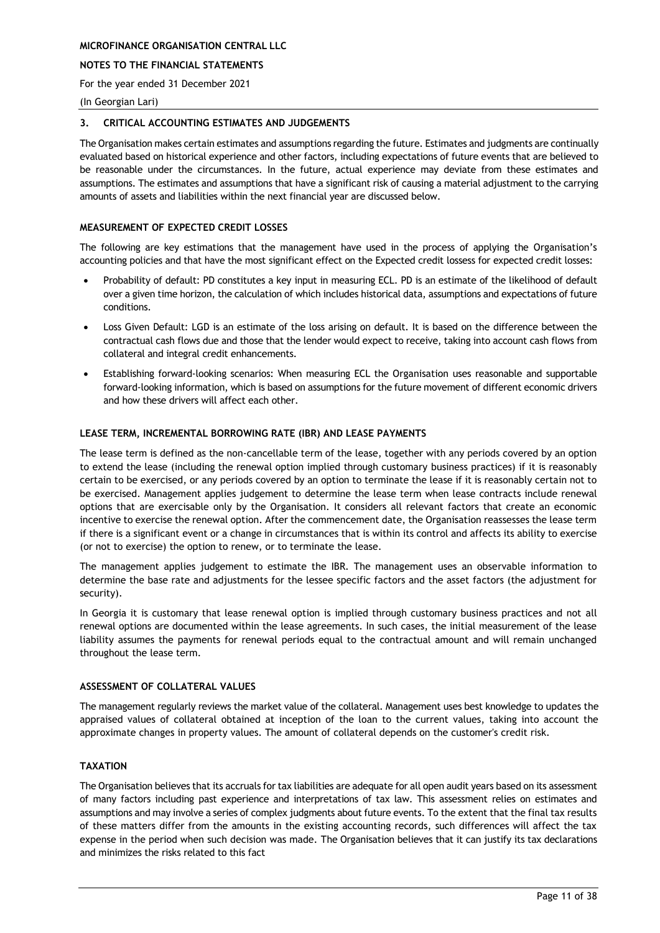### **NOTES TO THE FINANCIAL STATEMENTS**

For the year ended 31 December 2021

#### (In Georgian Lari)

#### <span id="page-11-0"></span>**3. CRITICAL ACCOUNTING ESTIMATES AND JUDGEMENTS**

The Organisation makes certain estimates and assumptions regarding the future. Estimates and judgments are continually evaluated based on historical experience and other factors, including expectations of future events that are believed to be reasonable under the circumstances. In the future, actual experience may deviate from these estimates and assumptions. The estimates and assumptions that have a significant risk of causing a material adjustment to the carrying amounts of assets and liabilities within the next financial year are discussed below.

#### **MEASUREMENT OF EXPECTED CREDIT LOSSES**

The following are key estimations that the management have used in the process of applying the Organisation's accounting policies and that have the most significant effect on the Expected credit lossess for expected credit losses:

- Probability of default: PD constitutes a key input in measuring ECL. PD is an estimate of the likelihood of default over a given time horizon, the calculation of which includes historical data, assumptions and expectations of future conditions.
- Loss Given Default: LGD is an estimate of the loss arising on default. It is based on the difference between the contractual cash flows due and those that the lender would expect to receive, taking into account cash flows from collateral and integral credit enhancements.
- Establishing forward-looking scenarios: When measuring ECL the Organisation uses reasonable and supportable forward-looking information, which is based on assumptions for the future movement of different economic drivers and how these drivers will affect each other.

### **LEASE TERM, INCREMENTAL BORROWING RATE (IBR) AND LEASE PAYMENTS**

The lease term is defined as the non-cancellable term of the lease, together with any periods covered by an option to extend the lease (including the renewal option implied through customary business practices) if it is reasonably certain to be exercised, or any periods covered by an option to terminate the lease if it is reasonably certain not to be exercised. Management applies judgement to determine the lease term when lease contracts include renewal options that are exercisable only by the Organisation. It considers all relevant factors that create an economic incentive to exercise the renewal option. After the commencement date, the Organisation reassesses the lease term if there is a significant event or a change in circumstances that is within its control and affects its ability to exercise (or not to exercise) the option to renew, or to terminate the lease.

The management applies judgement to estimate the IBR. The management uses an observable information to determine the base rate and adjustments for the lessee specific factors and the asset factors (the adjustment for security).

In Georgia it is customary that lease renewal option is implied through customary business practices and not all renewal options are documented within the lease agreements. In such cases, the initial measurement of the lease liability assumes the payments for renewal periods equal to the contractual amount and will remain unchanged throughout the lease term.

#### **ASSESSMENT OF COLLATERAL VALUES**

The management regularly reviews the market value of the collateral. Management uses best knowledge to updates the appraised values of collateral obtained at inception of the loan to the current values, taking into account the approximate changes in property values. The amount of collateral depends on the customer's credit risk.

### **TAXATION**

The Organisation believes that its accruals for tax liabilities are adequate for all open audit years based on its assessment of many factors including past experience and interpretations of tax law. This assessment relies on estimates and assumptions and may involve a series of complex judgments about future events. To the extent that the final tax results of these matters differ from the amounts in the existing accounting records, such differences will affect the tax expense in the period when such decision was made. The Organisation believes that it can justify its tax declarations and minimizes the risks related to this fact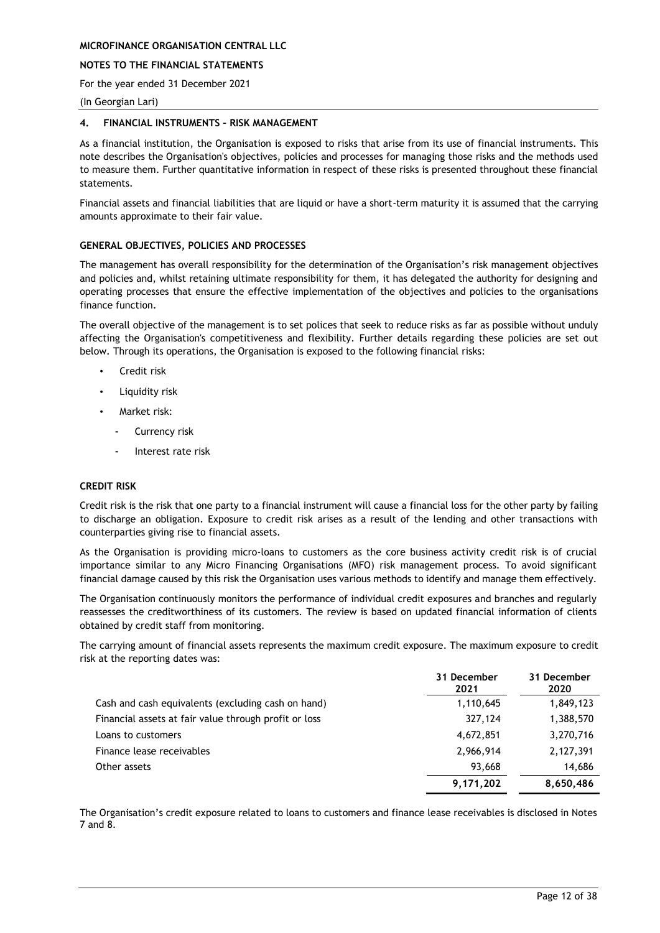### **NOTES TO THE FINANCIAL STATEMENTS**

For the year ended 31 December 2021

#### (In Georgian Lari)

#### <span id="page-12-0"></span>**4. FINANCIAL INSTRUMENTS – RISK MANAGEMENT**

As a financial institution, the Organisation is exposed to risks that arise from its use of financial instruments. This note describes the Organisation's objectives, policies and processes for managing those risks and the methods used to measure them. Further quantitative information in respect of these risks is presented throughout these financial statements.

Financial assets and financial liabilities that are liquid or have a short-term maturity it is assumed that the carrying amounts approximate to their fair value.

#### **GENERAL OBJECTIVES, POLICIES AND PROCESSES**

The management has overall responsibility for the determination of the Organisation's risk management objectives and policies and, whilst retaining ultimate responsibility for them, it has delegated the authority for designing and operating processes that ensure the effective implementation of the objectives and policies to the organisations finance function.

The overall objective of the management is to set polices that seek to reduce risks as far as possible without unduly affecting the Organisation's competitiveness and flexibility. Further details regarding these policies are set out below. Through its operations, the Organisation is exposed to the following financial risks:

- Credit risk
- Liquidity risk
- Market risk:
	- **-** Currency risk
	- **-** Interest rate risk

#### **CREDIT RISK**

Credit risk is the risk that one party to a financial instrument will cause a financial loss for the other party by failing to discharge an obligation. Exposure to credit risk arises as a result of the lending and other transactions with counterparties giving rise to financial assets.

As the Organisation is providing micro-loans to customers as the core business activity credit risk is of crucial importance similar to any Micro Financing Organisations (MFO) risk management process. To avoid significant financial damage caused by this risk the Organisation uses various methods to identify and manage them effectively.

The Organisation continuously monitors the performance of individual credit exposures and branches and regularly reassesses the creditworthiness of its customers. The review is based on updated financial information of clients obtained by credit staff from monitoring.

The carrying amount of financial assets represents the maximum credit exposure. The maximum exposure to credit risk at the reporting dates was:

|                                                       | 31 December<br>2021 | 31 December<br>2020 |
|-------------------------------------------------------|---------------------|---------------------|
| Cash and cash equivalents (excluding cash on hand)    | 1,110,645           | 1,849,123           |
| Financial assets at fair value through profit or loss | 327,124             | 1,388,570           |
| Loans to customers                                    | 4,672,851           | 3,270,716           |
| Finance lease receivables                             | 2,966,914           | 2,127,391           |
| Other assets                                          | 93,668              | 14,686              |
|                                                       | 9,171,202           | 8,650,486           |

The Organisation's credit exposure related to loans to customers and finance lease receivables is disclosed in Notes 7 and 8.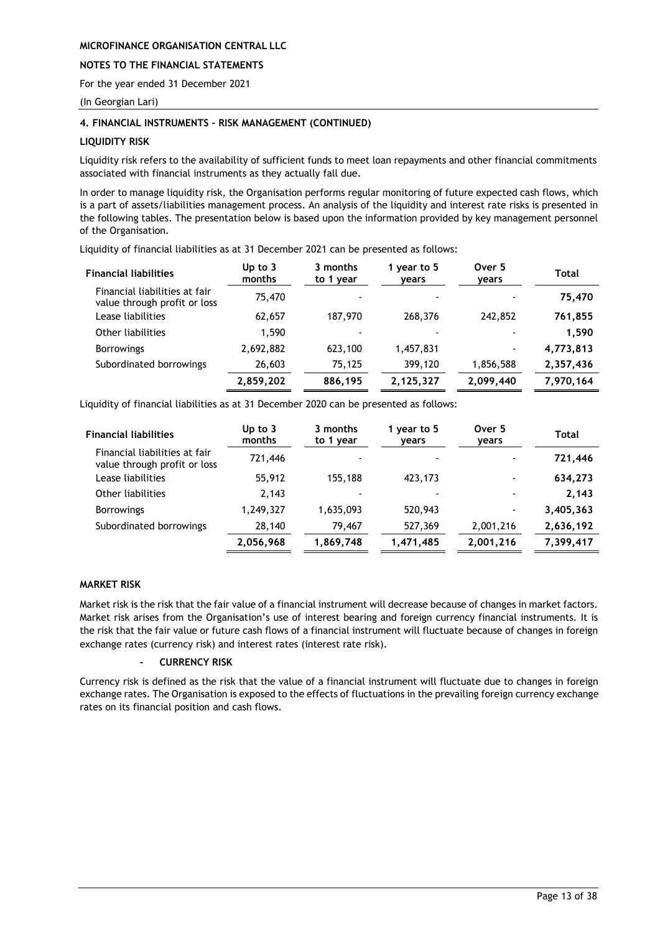### **NOTES TO THE FINANCIAL STATEMENTS**

For the year ended 31 December 2021

(In Georgian Lari)

### **4. FINANCIAL INSTRUMENTS – RISK MANAGEMENT (CONTINUED)**

### **LIQUIDITY RISK**

Liquidity risk refers to the availability of sufficient funds to meet loan repayments and other financial commitments associated with financial instruments as they actually fall due.

In order to manage liquidity risk, the Organisation performs regular monitoring of future expected cash flows, which is a part of assets/liabilities management process. An analysis of the liquidity and interest rate risks is presented in the following tables. The presentation below is based upon the information provided by key management personnel of the Organisation.

Liquidity of financial liabilities as at 31 December 2021 can be presented as follows:

| <b>Financial liabilities</b>                                  | Up to $3$<br>months | 3 months<br>to 1 year | 1 year to 5<br>years | Over 5<br>years          | Total     |
|---------------------------------------------------------------|---------------------|-----------------------|----------------------|--------------------------|-----------|
| Financial liabilities at fair<br>value through profit or loss | 75,470              |                       |                      |                          | 75,470    |
| Lease liabilities                                             | 62,657              | 187,970               | 268,376              | 242,852                  | 761,855   |
| Other liabilities                                             | 1.590               |                       |                      |                          | 1,590     |
| <b>Borrowings</b>                                             | 2,692,882           | 623,100               | 1,457,831            | $\overline{\phantom{a}}$ | 4,773,813 |
| Subordinated borrowings                                       | 26,603              | 75.125                | 399,120              | 1,856,588                | 2,357,436 |
|                                                               | 2,859,202           | 886,195               | 2,125,327            | 2,099,440                | 7,970,164 |

Liquidity of financial liabilities as at 31 December 2020 can be presented as follows:

| <b>Financial liabilities</b>                                  | Up to $3$<br>months | 3 months<br>to 1 year | 1 year to 5<br>years | Over 5<br>years          | <b>Total</b> |
|---------------------------------------------------------------|---------------------|-----------------------|----------------------|--------------------------|--------------|
| Financial liabilities at fair<br>value through profit or loss | 721,446             |                       |                      | $\overline{\phantom{a}}$ | 721,446      |
| Lease liabilities                                             | 55,912              | 155,188               | 423,173              | $\overline{\phantom{a}}$ | 634,273      |
| Other liabilities                                             | 2,143               |                       |                      | $\,$                     | 2,143        |
| <b>Borrowings</b>                                             | 1,249,327           | 1,635,093             | 520,943              | $\blacksquare$           | 3,405,363    |
| Subordinated borrowings                                       | 28,140              | 79,467                | 527,369              | 2,001,216                | 2,636,192    |
|                                                               | 2,056,968           | 1,869,748             | 1,471,485            | 2,001,216                | 7,399,417    |

### **MARKET RISK**

Market risk is the risk that the fair value of a financial instrument will decrease because of changes in market factors. Market risk arises from the Organisation's use of interest bearing and foreign currency financial instruments. It is the risk that the fair value or future cash flows of a financial instrument will fluctuate because of changes in foreign exchange rates (currency risk) and interest rates (interest rate risk).

### **- CURRENCY RISK**

Currency risk is defined as the risk that the value of a financial instrument will fluctuate due to changes in foreign exchange rates. The Organisation is exposed to the effects of fluctuations in the prevailing foreign currency exchange rates on its financial position and cash flows.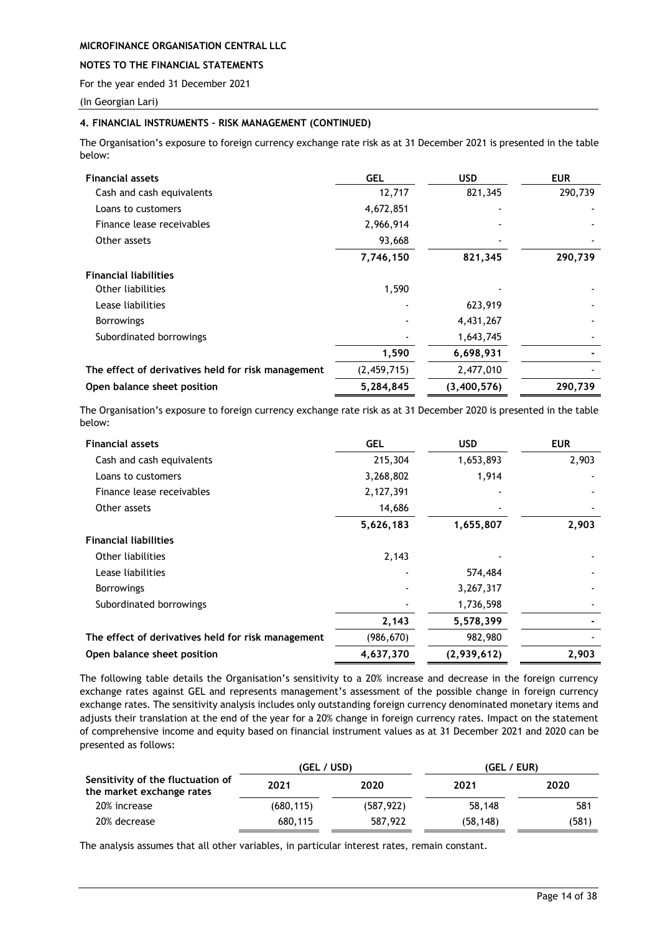### **NOTES TO THE FINANCIAL STATEMENTS**

For the year ended 31 December 2021

(In Georgian Lari)

### **4. FINANCIAL INSTRUMENTS – RISK MANAGEMENT (CONTINUED)**

The Organisation's exposure to foreign currency exchange rate risk as at 31 December 2021 is presented in the table below:

| <b>Financial assets</b>                            | <b>GEL</b>  | USD         | <b>EUR</b> |
|----------------------------------------------------|-------------|-------------|------------|
| Cash and cash equivalents                          | 12,717      | 821,345     | 290,739    |
| Loans to customers                                 | 4,672,851   |             |            |
| Finance lease receivables                          | 2,966,914   |             |            |
| Other assets                                       | 93,668      |             |            |
|                                                    | 7,746,150   | 821,345     | 290,739    |
| <b>Financial liabilities</b>                       |             |             |            |
| Other liabilities                                  | 1,590       |             |            |
| Lease liabilities                                  |             | 623,919     |            |
| <b>Borrowings</b>                                  |             | 4,431,267   |            |
| Subordinated borrowings                            |             | 1,643,745   |            |
|                                                    | 1,590       | 6,698,931   |            |
| The effect of derivatives held for risk management | (2,459,715) | 2,477,010   |            |
| Open balance sheet position                        | 5,284,845   | (3,400,576) | 290,739    |

The Organisation's exposure to foreign currency exchange rate risk as at 31 December 2020 is presented in the table below:

| <b>Financial assets</b>                            | <b>GEL</b> | <b>USD</b>  | <b>EUR</b> |
|----------------------------------------------------|------------|-------------|------------|
| Cash and cash equivalents                          | 215,304    | 1,653,893   | 2,903      |
| Loans to customers                                 | 3,268,802  | 1,914       |            |
| Finance lease receivables                          | 2,127,391  |             |            |
| Other assets                                       | 14,686     |             |            |
|                                                    | 5,626,183  | 1,655,807   | 2,903      |
| <b>Financial liabilities</b>                       |            |             |            |
| Other liabilities                                  | 2,143      |             |            |
| Lease liabilities                                  |            | 574,484     |            |
| <b>Borrowings</b>                                  |            | 3,267,317   |            |
| Subordinated borrowings                            |            | 1,736,598   |            |
|                                                    | 2,143      | 5,578,399   |            |
| The effect of derivatives held for risk management | (986, 670) | 982,980     |            |
| Open balance sheet position                        | 4,637,370  | (2,939,612) | 2,903      |

The following table details the Organisation's sensitivity to a 20% increase and decrease in the foreign currency exchange rates against GEL and represents management's assessment of the possible change in foreign currency exchange rates. The sensitivity analysis includes only outstanding foreign currency denominated monetary items and adjusts their translation at the end of the year for a 20% change in foreign currency rates. Impact on the statement of comprehensive income and equity based on financial instrument values as at 31 December 2021 and 2020 can be presented as follows:

|                                                                | (GEL / USD) |            | (GEL / EUR) |       |
|----------------------------------------------------------------|-------------|------------|-------------|-------|
| Sensitivity of the fluctuation of<br>the market exchange rates | 2021        | 2020       | 2021        | 2020  |
| 20% increase                                                   | (680, 115)  | (587, 922) | 58,148      | 581   |
| 20% decrease                                                   | 680,115     | 587,922    | (58, 148)   | (581) |

The analysis assumes that all other variables, in particular interest rates, remain constant.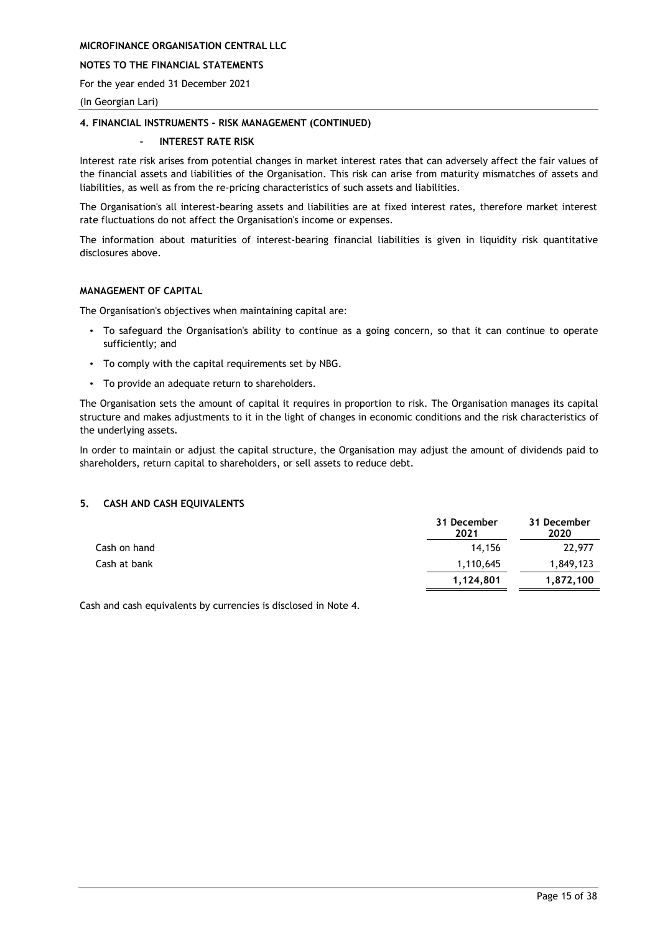### **NOTES TO THE FINANCIAL STATEMENTS**

For the year ended 31 December 2021

(In Georgian Lari)

### **4. FINANCIAL INSTRUMENTS – RISK MANAGEMENT (CONTINUED)**

### **- INTEREST RATE RISK**

Interest rate risk arises from potential changes in market interest rates that can adversely affect the fair values of the financial assets and liabilities of the Organisation. This risk can arise from maturity mismatches of assets and liabilities, as well as from the re-pricing characteristics of such assets and liabilities.

The Organisation's all interest-bearing assets and liabilities are at fixed interest rates, therefore market interest rate fluctuations do not affect the Organisation's income or expenses.

The information about maturities of interest-bearing financial liabilities is given in liquidity risk quantitative disclosures above.

### **MANAGEMENT OF CAPITAL**

The Organisation's objectives when maintaining capital are:

- To safeguard the Organisation's ability to continue as a going concern, so that it can continue to operate sufficiently; and
- To comply with the capital requirements set by NBG.
- To provide an adequate return to shareholders.

The Organisation sets the amount of capital it requires in proportion to risk. The Organisation manages its capital structure and makes adjustments to it in the light of changes in economic conditions and the risk characteristics of the underlying assets.

In order to maintain or adjust the capital structure, the Organisation may adjust the amount of dividends paid to shareholders, return capital to shareholders, or sell assets to reduce debt.

### <span id="page-15-0"></span>**5. CASH AND CASH EQUIVALENTS**

|              | 31 December<br>2021 | 31 December<br>2020 |
|--------------|---------------------|---------------------|
| Cash on hand | 14.156              | 22,977              |
| Cash at bank | 1,110,645           | 1,849,123           |
|              | 1,124,801           | 1,872,100           |

Cash and cash equivalents by currencies is disclosed in Note 4.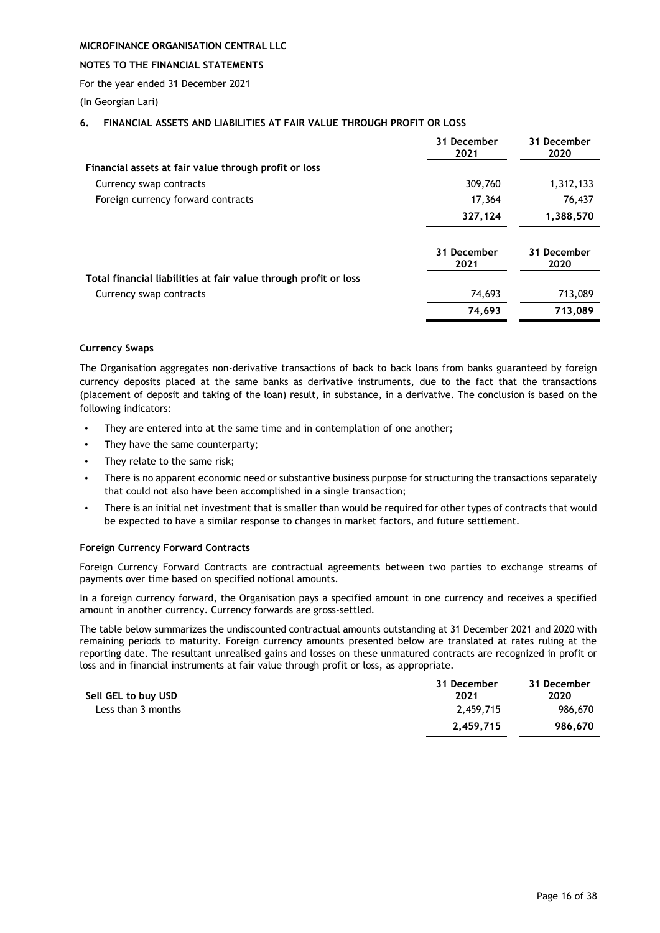### **NOTES TO THE FINANCIAL STATEMENTS**

For the year ended 31 December 2021

(In Georgian Lari)

### <span id="page-16-0"></span>**6. FINANCIAL ASSETS AND LIABILITIES AT FAIR VALUE THROUGH PROFIT OR LOSS**

|                                                                  | 31 December<br>2021 | 31 December<br>2020 |
|------------------------------------------------------------------|---------------------|---------------------|
| Financial assets at fair value through profit or loss            |                     |                     |
| Currency swap contracts                                          | 309,760             | 1,312,133           |
| Foreign currency forward contracts                               | 17,364              | 76,437              |
|                                                                  | 327,124             | 1,388,570           |
|                                                                  | 31 December<br>2021 | 31 December<br>2020 |
| Total financial liabilities at fair value through profit or loss |                     |                     |
| Currency swap contracts                                          | 74,693              | 713,089             |
|                                                                  | 74,693              | 713,089             |

### **Currency Swaps**

The Organisation aggregates non-derivative transactions of back to back loans from banks guaranteed by foreign currency deposits placed at the same banks as derivative instruments, due to the fact that the transactions (placement of deposit and taking of the loan) result, in substance, in a derivative. The conclusion is based on the following indicators:

- They are entered into at the same time and in contemplation of one another;
- They have the same counterparty;
- They relate to the same risk;
- There is no apparent economic need or substantive business purpose for structuring the transactions separately that could not also have been accomplished in a single transaction;
- There is an initial net investment that is smaller than would be required for other types of contracts that would be expected to have a similar response to changes in market factors, and future settlement.

#### **Foreign Currency Forward Contracts**

Foreign Currency Forward Contracts are contractual agreements between two parties to exchange streams of payments over time based on specified notional amounts.

In a foreign currency forward, the Organisation pays a specified amount in one currency and receives a specified amount in another currency. Currency forwards are gross-settled.

The table below summarizes the undiscounted contractual amounts outstanding at 31 December 2021 and 2020 with remaining periods to maturity. Foreign currency amounts presented below are translated at rates ruling at the reporting date. The resultant unrealised gains and losses on these unmatured contracts are recognized in profit or loss and in financial instruments at fair value through profit or loss, as appropriate.

| Sell GEL to buy USD | 31 December<br>2021 | 31 December<br>2020 |
|---------------------|---------------------|---------------------|
| Less than 3 months  | 2.459.715           | 986,670             |
|                     | 2,459,715           | 986,670             |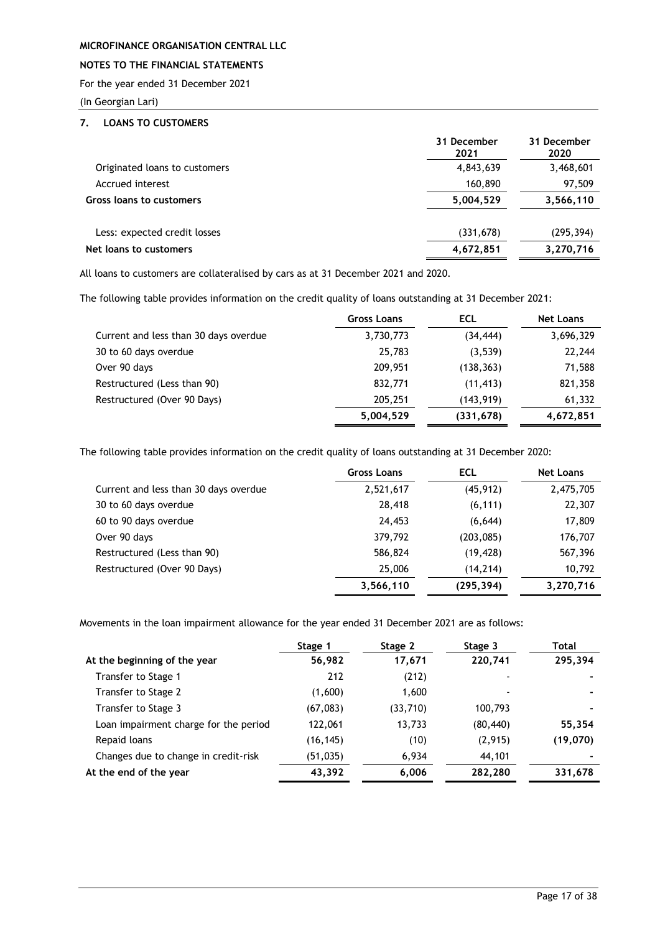# **NOTES TO THE FINANCIAL STATEMENTS**

For the year ended 31 December 2021

(In Georgian Lari)

### <span id="page-17-0"></span>**7. LOANS TO CUSTOMERS**

|                               | 31 December<br>2021 | 31 December<br>2020 |
|-------------------------------|---------------------|---------------------|
| Originated loans to customers | 4,843,639           | 3,468,601           |
| Accrued interest              | 160,890             | 97,509              |
| Gross loans to customers      | 5,004,529           | 3,566,110           |
| Less: expected credit losses  | (331, 678)          | (295, 394)          |
| Net loans to customers        | 4,672,851           | 3,270,716           |

All loans to customers are collateralised by cars as at 31 December 2021 and 2020.

The following table provides information on the credit quality of loans outstanding at 31 December 2021:

|                                       | Gross Loans | ECL        | <b>Net Loans</b> |
|---------------------------------------|-------------|------------|------------------|
| Current and less than 30 days overdue | 3,730,773   | (34, 444)  | 3,696,329        |
| 30 to 60 days overdue                 | 25,783      | (3,539)    | 22,244           |
| Over 90 days                          | 209,951     | (138, 363) | 71,588           |
| Restructured (Less than 90)           | 832,771     | (11, 413)  | 821,358          |
| Restructured (Over 90 Days)           | 205,251     | (143, 919) | 61,332           |
|                                       | 5,004,529   | (331, 678) | 4,672,851        |

The following table provides information on the credit quality of loans outstanding at 31 December 2020:

|                                       | <b>Gross Loans</b> | <b>ECL</b> | <b>Net Loans</b> |
|---------------------------------------|--------------------|------------|------------------|
| Current and less than 30 days overdue | 2,521,617          | (45, 912)  | 2,475,705        |
| 30 to 60 days overdue                 | 28,418             | (6, 111)   | 22,307           |
| 60 to 90 days overdue                 | 24,453             | (6, 644)   | 17,809           |
| Over 90 days                          | 379,792            | (203,085)  | 176,707          |
| Restructured (Less than 90)           | 586,824            | (19, 428)  | 567,396          |
| Restructured (Over 90 Days)           | 25,006             | (14, 214)  | 10,792           |
|                                       | 3,566,110          | (295, 394) | 3,270,716        |

Movements in the loan impairment allowance for the year ended 31 December 2021 are as follows:

|                                       | Stage 1   | Stage 2   | Stage 3   | Total     |
|---------------------------------------|-----------|-----------|-----------|-----------|
| At the beginning of the year          | 56,982    | 17,671    | 220,741   | 295,394   |
| Transfer to Stage 1                   | 212       | (212)     |           |           |
| Transfer to Stage 2                   | (1,600)   | 1,600     |           |           |
| Transfer to Stage 3                   | (67, 083) | (33, 710) | 100,793   |           |
| Loan impairment charge for the period | 122,061   | 13,733    | (80, 440) | 55,354    |
| Repaid loans                          | (16, 145) | (10)      | (2,915)   | (19, 070) |
| Changes due to change in credit-risk  | (51,035)  | 6,934     | 44,101    |           |
| At the end of the year                | 43,392    | 6,006     | 282,280   | 331,678   |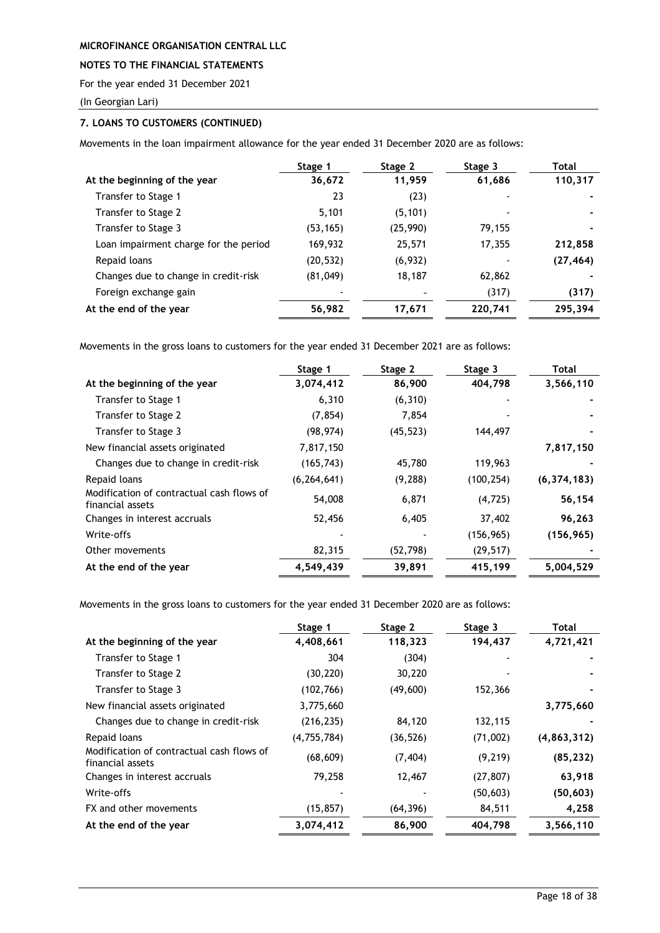### **NOTES TO THE FINANCIAL STATEMENTS**

For the year ended 31 December 2021

(In Georgian Lari)

### **7. LOANS TO CUSTOMERS (CONTINUED)**

Movements in the loan impairment allowance for the year ended 31 December 2020 are as follows:

|                                       | Stage 1   | Stage 2  | Stage 3 | Total     |
|---------------------------------------|-----------|----------|---------|-----------|
| At the beginning of the year          | 36,672    | 11,959   | 61,686  | 110,317   |
| Transfer to Stage 1                   | 23        | (23)     |         |           |
| Transfer to Stage 2                   | 5,101     | (5, 101) |         |           |
| Transfer to Stage 3                   | (53, 165) | (25,990) | 79,155  |           |
| Loan impairment charge for the period | 169,932   | 25,571   | 17,355  | 212,858   |
| Repaid loans                          | (20, 532) | (6,932)  |         | (27, 464) |
| Changes due to change in credit-risk  | (81, 049) | 18,187   | 62,862  |           |
| Foreign exchange gain                 |           |          | (317)   | (317)     |
| At the end of the year                | 56,982    | 17,671   | 220,741 | 295,394   |

Movements in the gross loans to customers for the year ended 31 December 2021 are as follows:

|                                                               | Stage 1       | Stage 2   | Stage 3    | Total         |
|---------------------------------------------------------------|---------------|-----------|------------|---------------|
| At the beginning of the year                                  | 3,074,412     | 86,900    | 404,798    | 3,566,110     |
| Transfer to Stage 1                                           | 6,310         | (6, 310)  |            |               |
| Transfer to Stage 2                                           | (7, 854)      | 7,854     |            |               |
| Transfer to Stage 3                                           | (98, 974)     | (45, 523) | 144,497    |               |
| New financial assets originated                               | 7,817,150     |           |            | 7,817,150     |
| Changes due to change in credit-risk                          | (165, 743)    | 45,780    | 119,963    |               |
| Repaid loans                                                  | (6, 264, 641) | (9, 288)  | (100, 254) | (6, 374, 183) |
| Modification of contractual cash flows of<br>financial assets | 54,008        | 6,871     | (4, 725)   | 56,154        |
| Changes in interest accruals                                  | 52,456        | 6,405     | 37,402     | 96,263        |
| Write-offs                                                    |               |           | (156, 965) | (156, 965)    |
| Other movements                                               | 82,315        | (52, 798) | (29, 517)  |               |
| At the end of the year                                        | 4,549,439     | 39,891    | 415,199    | 5,004,529     |

Movements in the gross loans to customers for the year ended 31 December 2020 are as follows:

|                                                               | Stage 1       | Stage 2   | Stage 3   | Total         |
|---------------------------------------------------------------|---------------|-----------|-----------|---------------|
| At the beginning of the year                                  | 4,408,661     | 118,323   | 194,437   | 4,721,421     |
| Transfer to Stage 1                                           | 304           | (304)     |           |               |
| Transfer to Stage 2                                           | (30, 220)     | 30,220    |           |               |
| Transfer to Stage 3                                           | (102, 766)    | (49, 600) | 152,366   |               |
| New financial assets originated                               | 3,775,660     |           |           | 3,775,660     |
| Changes due to change in credit-risk                          | (216, 235)    | 84,120    | 132,115   |               |
| Repaid loans                                                  | (4, 755, 784) | (36, 526) | (71,002)  | (4, 863, 312) |
| Modification of contractual cash flows of<br>financial assets | (68, 609)     | (7, 404)  | (9, 219)  | (85, 232)     |
| Changes in interest accruals                                  | 79,258        | 12,467    | (27, 807) | 63,918        |
| Write-offs                                                    |               |           | (50, 603) | (50, 603)     |
| FX and other movements                                        | (15, 857)     | (64, 396) | 84,511    | 4,258         |
| At the end of the year                                        | 3,074,412     | 86,900    | 404,798   | 3,566,110     |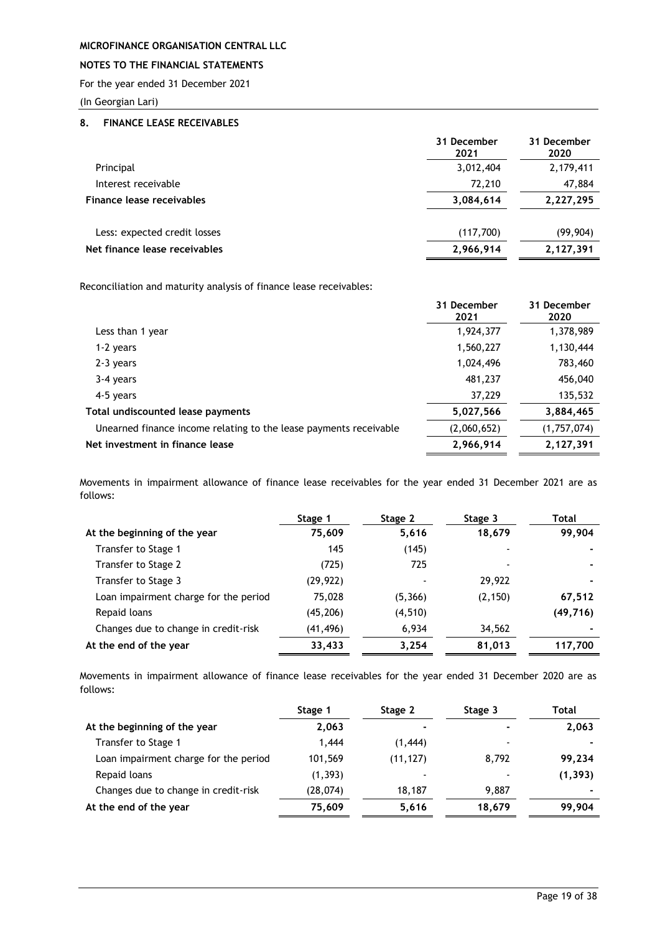### **NOTES TO THE FINANCIAL STATEMENTS**

For the year ended 31 December 2021

(In Georgian Lari)

### <span id="page-19-0"></span>**8. FINANCE LEASE RECEIVABLES**

| 31 December<br>2021 | 31 December<br>2020 |
|---------------------|---------------------|
| 3,012,404           | 2,179,411           |
| 72,210              | 47,884              |
| 3,084,614           | 2,227,295           |
| (117,700)           | (99, 904)           |
| 2,966,914           | 2,127,391           |
|                     |                     |

Reconciliation and maturity analysis of finance lease receivables:

|                                                                   | 31 December<br>2021 | 31 December<br>2020 |
|-------------------------------------------------------------------|---------------------|---------------------|
| Less than 1 year                                                  | 1,924,377           | 1,378,989           |
| 1-2 years                                                         | 1,560,227           | 1,130,444           |
| 2-3 years                                                         | 1,024,496           | 783,460             |
| 3-4 years                                                         | 481,237             | 456,040             |
| 4-5 years                                                         | 37,229              | 135,532             |
| Total undiscounted lease payments                                 | 5,027,566           | 3,884,465           |
| Unearned finance income relating to the lease payments receivable | (2,060,652)         | (1,757,074)         |
| Net investment in finance lease                                   | 2,966,914           | 2,127,391           |
|                                                                   |                     |                     |

Movements in impairment allowance of finance lease receivables for the year ended 31 December 2021 are as follows:

|                                       | Stage 1  | Stage 2  | Stage 3  | Total     |
|---------------------------------------|----------|----------|----------|-----------|
| At the beginning of the year          | 75,609   | 5,616    | 18,679   | 99,904    |
| Transfer to Stage 1                   | 145      | (145)    |          |           |
| Transfer to Stage 2                   | (725)    | 725      |          |           |
| Transfer to Stage 3                   | (29,922) |          | 29,922   |           |
| Loan impairment charge for the period | 75,028   | (5,366)  | (2, 150) | 67,512    |
| Repaid loans                          | (45,206) | (4, 510) |          | (49, 716) |
| Changes due to change in credit-risk  | (41,496) | 6,934    | 34,562   |           |
| At the end of the year                | 33,433   | 3,254    | 81,013   | 117,700   |

Movements in impairment allowance of finance lease receivables for the year ended 31 December 2020 are as follows:

|                                       | Stage 1  | Stage 2                  | Stage 3        | Total    |
|---------------------------------------|----------|--------------------------|----------------|----------|
| At the beginning of the year          | 2,063    | $\overline{\phantom{0}}$ | $\blacksquare$ | 2,063    |
| Transfer to Stage 1                   | 1,444    | (1,444)                  | -              |          |
| Loan impairment charge for the period | 101,569  | (11, 127)                | 8,792          | 99,234   |
| Repaid loans                          | (1, 393) | $\,$                     |                | (1, 393) |
| Changes due to change in credit-risk  | (28,074) | 18,187                   | 9.887          |          |
| At the end of the year                | 75,609   | 5,616                    | 18,679         | 99,904   |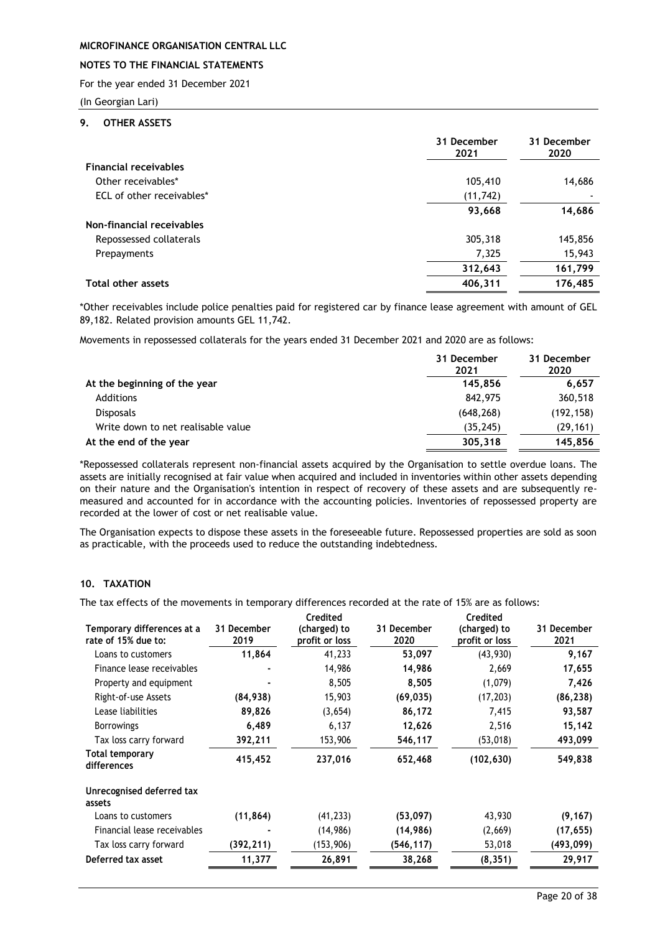### **NOTES TO THE FINANCIAL STATEMENTS**

For the year ended 31 December 2021

(In Georgian Lari)

#### <span id="page-20-0"></span>**9. OTHER ASSETS**

|                              | 31 December<br>2021 | 31 December<br>2020 |
|------------------------------|---------------------|---------------------|
| <b>Financial receivables</b> |                     |                     |
| Other receivables*           | 105,410             | 14,686              |
| ECL of other receivables*    | (11, 742)           |                     |
|                              | 93,668              | 14,686              |
| Non-financial receivables    |                     |                     |
| Repossessed collaterals      | 305,318             | 145,856             |
| Prepayments                  | 7,325               | 15,943              |
|                              | 312,643             | 161,799             |
| <b>Total other assets</b>    | 406,311             | 176,485             |

\*Other receivables include police penalties paid for registered car by finance lease agreement with amount of GEL 89,182. Related provision amounts GEL 11,742.

Movements in repossessed collaterals for the years ended 31 December 2021 and 2020 are as follows:

|                                    | 31 December<br>2021 | 31 December<br>2020 |
|------------------------------------|---------------------|---------------------|
| At the beginning of the year       | 145.856             | 6.657               |
| Additions                          | 842,975             | 360,518             |
| <b>Disposals</b>                   | (648, 268)          | (192, 158)          |
| Write down to net realisable value | (35, 245)           | (29, 161)           |
| At the end of the year             | 305,318             | 145.856             |

\*Repossessed collaterals represent non-financial assets acquired by the Organisation to settle overdue loans. The assets are initially recognised at fair value when acquired and included in inventories within other assets depending on their nature and the Organisation's intention in respect of recovery of these assets and are subsequently remeasured and accounted for in accordance with the accounting policies. Inventories of repossessed property are recorded at the lower of cost or net realisable value.

The Organisation expects to dispose these assets in the foreseeable future. Repossessed properties are sold as soon as practicable, with the proceeds used to reduce the outstanding indebtedness.

# <span id="page-20-1"></span>**10. TAXATION**

The tax effects of the movements in temporary differences recorded at the rate of 15% are as follows:

| Temporary differences at a<br>rate of 15% due to: | 31 December<br>2019 | Credited<br>(charged) to<br>profit or loss | 31 December<br>2020 | Credited<br>(charged) to<br>profit or loss | 31 December<br>2021 |
|---------------------------------------------------|---------------------|--------------------------------------------|---------------------|--------------------------------------------|---------------------|
| Loans to customers                                | 11,864              | 41,233                                     | 53,097              | (43, 930)                                  | 9,167               |
| Finance lease receivables                         |                     | 14,986                                     | 14,986              | 2,669                                      | 17,655              |
| Property and equipment                            |                     | 8,505                                      | 8,505               | (1,079)                                    | 7,426               |
| Right-of-use Assets                               | (84, 938)           | 15,903                                     | (69, 035)           | (17, 203)                                  | (86, 238)           |
| Lease liabilities                                 | 89,826              | (3,654)                                    | 86,172              | 7,415                                      | 93,587              |
| <b>Borrowings</b>                                 | 6,489               | 6,137                                      | 12,626              | 2,516                                      | 15,142              |
| Tax loss carry forward                            | 392,211             | 153,906                                    | 546,117             | (53, 018)                                  | 493,099             |
| Total temporary<br>differences                    | 415,452             | 237,016                                    | 652,468             | (102, 630)                                 | 549,838             |
| Unrecognised deferred tax<br>assets               |                     |                                            |                     |                                            |                     |
| Loans to customers                                | (11, 864)           | (41, 233)                                  | (53,097)            | 43,930                                     | (9, 167)            |
| Financial lease receivables                       |                     | (14, 986)                                  | (14, 986)           | (2,669)                                    | (17, 655)           |
| Tax loss carry forward                            | (392,211)           | (153,906)                                  | (546,117)           | 53,018                                     | (493,099)           |
| Deferred tax asset                                | 11,377              | 26,891                                     | 38,268              | (8, 351)                                   | 29,917              |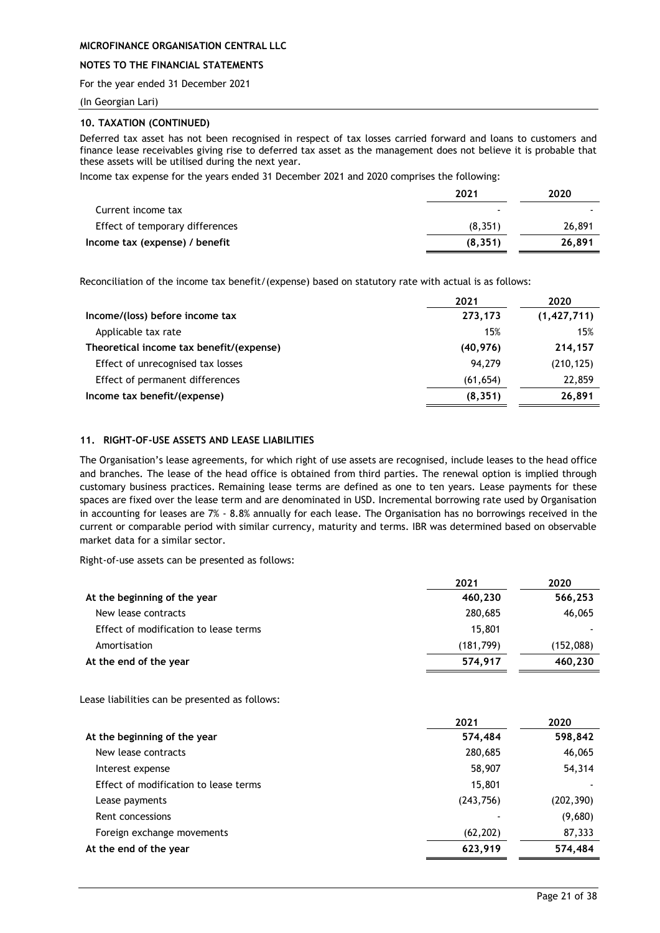### **NOTES TO THE FINANCIAL STATEMENTS**

For the year ended 31 December 2021

(In Georgian Lari)

### **10. TAXATION (CONTINUED)**

Deferred tax asset has not been recognised in respect of tax losses carried forward and loans to customers and finance lease receivables giving rise to deferred tax asset as the management does not believe it is probable that these assets will be utilised during the next year.

Income tax expense for the years ended 31 December 2021 and 2020 comprises the following:

|                                 | 2021     | 2020   |
|---------------------------------|----------|--------|
| Current income tax              |          |        |
| Effect of temporary differences | (8, 351) | 26,891 |
| Income tax (expense) / benefit  | (8, 351) | 26,891 |

Reconciliation of the income tax benefit/(expense) based on statutory rate with actual is as follows:

|                                          | 2021      | 2020          |
|------------------------------------------|-----------|---------------|
| Income/(loss) before income tax          | 273,173   | (1, 427, 711) |
| Applicable tax rate                      | 15%       | 15%           |
| Theoretical income tax benefit/(expense) | (40, 976) | 214,157       |
| Effect of unrecognised tax losses        | 94.279    | (210, 125)    |
| Effect of permanent differences          | (61, 654) | 22,859        |
| Income tax benefit/(expense)             | (8, 351)  | 26,891        |

#### <span id="page-21-0"></span>**11. RIGHT-OF-USE ASSETS AND LEASE LIABILITIES**

The Organisation's lease agreements, for which right of use assets are recognised, include leases to the head office and branches. The lease of the head office is obtained from third parties. The renewal option is implied through customary business practices. Remaining lease terms are defined as one to ten years. Lease payments for these spaces are fixed over the lease term and are denominated in USD. Incremental borrowing rate used by Organisation in accounting for leases are 7% - 8.8% annually for each lease. The Organisation has no borrowings received in the current or comparable period with similar currency, maturity and terms. IBR was determined based on observable market data for a similar sector.

Right-of-use assets can be presented as follows:

|                                       | 2021       | 2020      |
|---------------------------------------|------------|-----------|
| At the beginning of the year          | 460,230    | 566,253   |
| New lease contracts                   | 280,685    | 46,065    |
| Effect of modification to lease terms | 15,801     |           |
| Amortisation                          | (181, 799) | (152,088) |
| At the end of the year                | 574,917    | 460,230   |

Lease liabilities can be presented as follows:

|                                       | 2021      | 2020       |
|---------------------------------------|-----------|------------|
| At the beginning of the year          | 574,484   | 598,842    |
| New lease contracts                   | 280,685   | 46,065     |
| Interest expense                      | 58,907    | 54,314     |
| Effect of modification to lease terms | 15,801    |            |
| Lease payments                        | (243,756) | (202, 390) |
| Rent concessions                      |           | (9,680)    |
| Foreign exchange movements            | (62, 202) | 87,333     |
| At the end of the year                | 623,919   | 574,484    |
|                                       |           |            |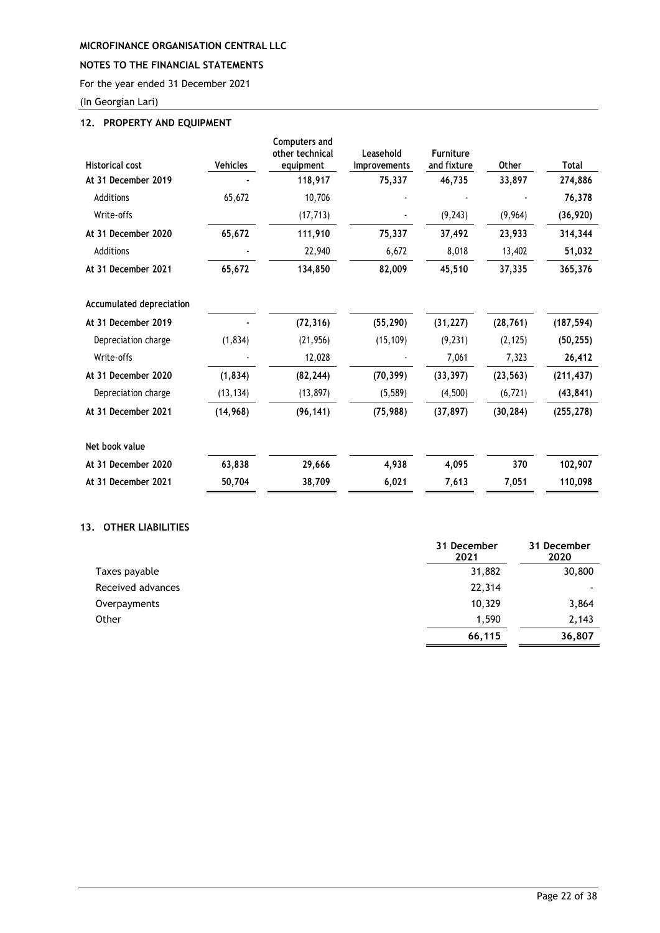# **NOTES TO THE FINANCIAL STATEMENTS**

For the year ended 31 December 2021

(In Georgian Lari)

# <span id="page-22-0"></span>**12. PROPERTY AND EQUIPMENT**

| <b>Historical cost</b>   | Vehicles  | <b>Computers and</b><br>other technical<br>equipment | Leasehold<br><b>Improvements</b> | <b>Furniture</b><br>and fixture | Other     | Total      |
|--------------------------|-----------|------------------------------------------------------|----------------------------------|---------------------------------|-----------|------------|
| At 31 December 2019      |           | 118,917                                              | 75,337                           | 46,735                          | 33,897    | 274,886    |
| Additions                | 65,672    | 10,706                                               |                                  |                                 |           | 76,378     |
| Write-offs               |           | (17, 713)                                            |                                  | (9, 243)                        | (9,964)   | (36, 920)  |
| At 31 December 2020      | 65,672    | 111,910                                              | 75,337                           | 37,492                          | 23,933    | 314,344    |
| Additions                |           | 22,940                                               | 6,672                            | 8,018                           | 13,402    | 51,032     |
| At 31 December 2021      | 65,672    | 134,850                                              | 82,009                           | 45,510                          | 37,335    | 365,376    |
| Accumulated depreciation |           |                                                      |                                  |                                 |           |            |
| At 31 December 2019      |           | (72, 316)                                            | (55, 290)                        | (31, 227)                       | (28, 761) | (187, 594) |
| Depreciation charge      | (1,834)   | (21, 956)                                            | (15, 109)                        | (9, 231)                        | (2, 125)  | (50, 255)  |
| Write-offs               |           | 12,028                                               |                                  | 7,061                           | 7,323     | 26,412     |
| At 31 December 2020      | (1, 834)  | (82, 244)                                            | (70, 399)                        | (33, 397)                       | (23, 563) | (211, 437) |
| Depreciation charge      | (13, 134) | (13, 897)                                            | (5, 589)                         | (4,500)                         | (6, 721)  | (43, 841)  |
| At 31 December 2021      | (14, 968) | (96, 141)                                            | (75, 988)                        | (37, 897)                       | (30, 284) | (255, 278) |
| Net book value           |           |                                                      |                                  |                                 |           |            |
| At 31 December 2020      | 63,838    | 29,666                                               | 4,938                            | 4,095                           | 370       | 102,907    |
| At 31 December 2021      | 50,704    | 38,709                                               | 6,021                            | 7,613                           | 7,051     | 110,098    |

### <span id="page-22-1"></span>**13. OTHER LIABILITIES**

|                   | 31 December<br>2021 | 31 December<br>2020      |
|-------------------|---------------------|--------------------------|
| Taxes payable     | 31,882              | 30,800                   |
| Received advances | 22,314              | $\overline{\phantom{0}}$ |
| Overpayments      | 10,329              | 3,864                    |
| Other             | 1,590               | 2,143                    |
|                   | 66,115              | 36,807                   |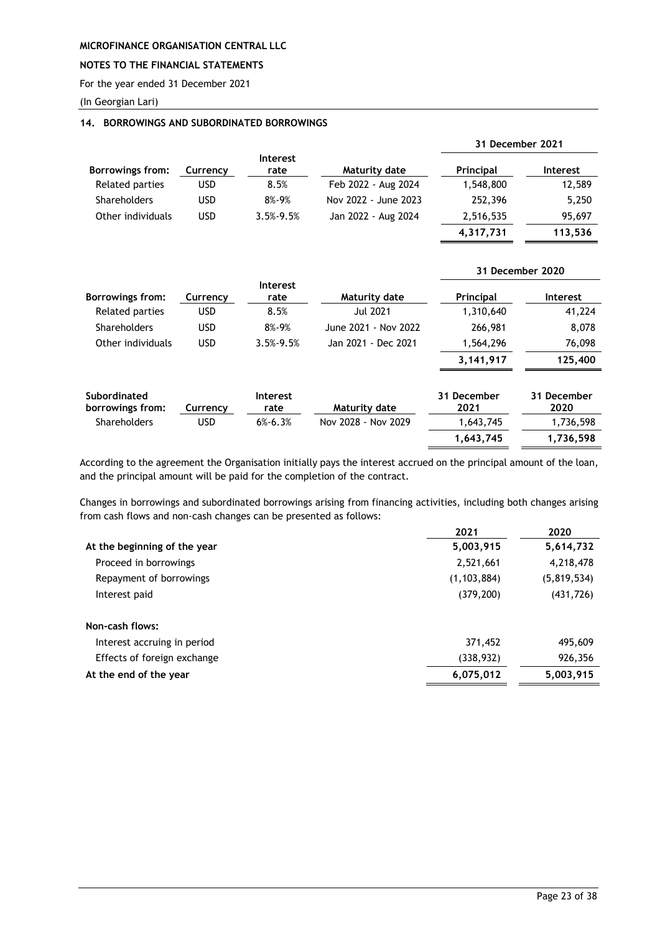### **NOTES TO THE FINANCIAL STATEMENTS**

For the year ended 31 December 2021

(In Georgian Lari)

### <span id="page-23-0"></span>**14. BORROWINGS AND SUBORDINATED BORROWINGS**

|                     |            |                         |                      | 31 December 2021 |                 |
|---------------------|------------|-------------------------|----------------------|------------------|-----------------|
| Borrowings from:    | Currency   | <b>Interest</b><br>rate | Maturity date        | <b>Principal</b> | <b>Interest</b> |
| Related parties     | <b>USD</b> | 8.5%                    | Feb 2022 - Aug 2024  | 1,548,800        | 12,589          |
| <b>Shareholders</b> | <b>USD</b> | 8%-9%                   | Nov 2022 - June 2023 | 252,396          | 5,250           |
| Other individuals   | <b>USD</b> | $3.5\% - 9.5\%$         | Jan 2022 - Aug 2024  | 2,516,535        | 95,697          |
|                     |            |                         |                      | 4,317,731        | 113,536         |

|                                  |            |                         |                      |                     | 31 December 2020    |
|----------------------------------|------------|-------------------------|----------------------|---------------------|---------------------|
| <b>Borrowings from:</b>          | Currency   | <b>Interest</b><br>rate | Maturity date        | Principal           | <b>Interest</b>     |
| Related parties                  | <b>USD</b> | 8.5%                    | <b>Jul 2021</b>      | 1,310,640           | 41,224              |
| Shareholders                     | <b>USD</b> | $8\% - 9\%$             | June 2021 - Nov 2022 | 266,981             | 8,078               |
| Other individuals                | <b>USD</b> | $3.5% - 9.5%$           | Jan 2021 - Dec 2021  | 1,564,296           | 76,098              |
|                                  |            |                         |                      | 3,141,917           | 125,400             |
| Subordinated<br>borrowings from: | Currency   | <b>Interest</b><br>rate | Maturity date        | 31 December<br>2021 | 31 December<br>2020 |
| Shareholders                     | <b>USD</b> | $6\% - 6.3\%$           | Nov 2028 - Nov 2029  | 1,643,745           | 1,736,598           |
|                                  |            |                         |                      | 1.643.745           | 1.736.598           |

According to the agreement the Organisation initially pays the interest accrued on the principal amount of the loan, and the principal amount will be paid for the completion of the contract.

Changes in borrowings and subordinated borrowings arising from financing activities, including both changes arising from cash flows and non-cash changes can be presented as follows:

|                              | 2021          | 2020        |
|------------------------------|---------------|-------------|
| At the beginning of the year | 5,003,915     | 5,614,732   |
| Proceed in borrowings        | 2,521,661     | 4,218,478   |
| Repayment of borrowings      | (1, 103, 884) | (5,819,534) |
| Interest paid                | (379, 200)    | (431, 726)  |
| Non-cash flows:              |               |             |
| Interest accruing in period  | 371,452       | 495,609     |
| Effects of foreign exchange  | (338,932)     | 926,356     |
| At the end of the year       | 6,075,012     | 5,003,915   |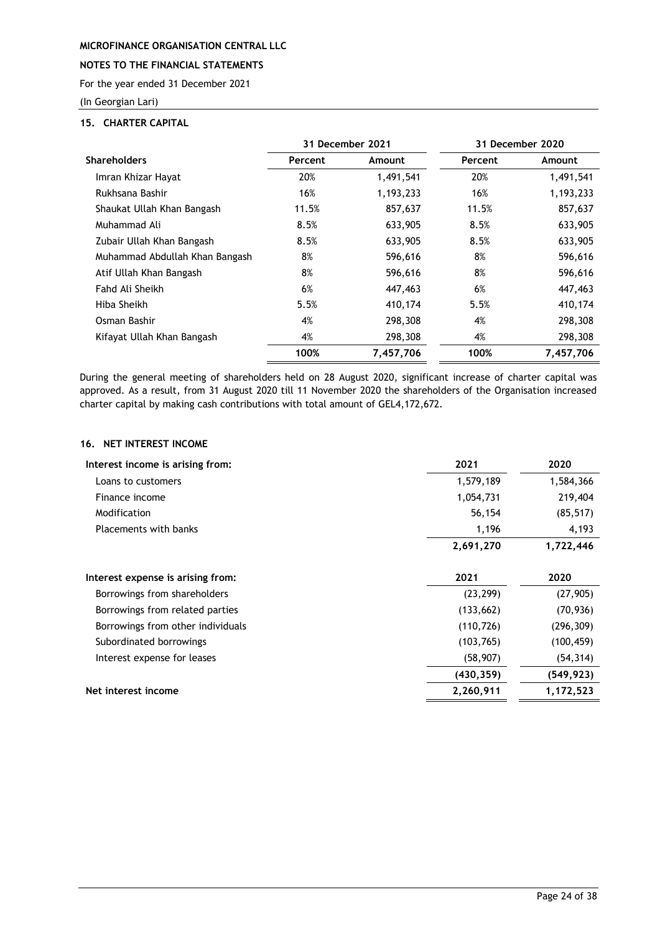# **NOTES TO THE FINANCIAL STATEMENTS**

For the year ended 31 December 2021

(In Georgian Lari)

### <span id="page-24-0"></span>**15. CHARTER CAPITAL**

|                                |         | 31 December 2021 |         | 31 December 2020 |
|--------------------------------|---------|------------------|---------|------------------|
| <b>Shareholders</b>            | Percent | Amount           | Percent | Amount           |
| Imran Khizar Hayat             | 20%     | 1,491,541        | 20%     | 1,491,541        |
| Rukhsana Bashir                | 16%     | 1,193,233        | 16%     | 1,193,233        |
| Shaukat Ullah Khan Bangash     | 11.5%   | 857,637          | 11.5%   | 857,637          |
| Muhammad Ali                   | 8.5%    | 633,905          | 8.5%    | 633,905          |
| Zubair Ullah Khan Bangash      | 8.5%    | 633,905          | 8.5%    | 633,905          |
| Muhammad Abdullah Khan Bangash | 8%      | 596,616          | 8%      | 596,616          |
| Atif Ullah Khan Bangash        | 8%      | 596,616          | 8%      | 596,616          |
| Fahd Ali Sheikh                | 6%      | 447,463          | 6%      | 447,463          |
| Hiba Sheikh                    | 5.5%    | 410,174          | 5.5%    | 410,174          |
| Osman Bashir                   | 4%      | 298,308          | 4%      | 298,308          |
| Kifayat Ullah Khan Bangash     | 4%      | 298,308          | 4%      | 298,308          |
|                                | 100%    | 7,457,706        | 100%    | 7,457,706        |

During the general meeting of shareholders held on 28 August 2020, significant increase of charter capital was approved. As a result, from 31 August 2020 till 11 November 2020 the shareholders of the Organisation increased charter capital by making cash contributions with total amount of GEL4,172,672.

# <span id="page-24-1"></span>**16. NET INTEREST INCOME**

| Interest income is arising from:  | 2021       | 2020       |
|-----------------------------------|------------|------------|
| Loans to customers                | 1,579,189  | 1,584,366  |
| Finance income                    | 1,054,731  | 219,404    |
| Modification                      | 56,154     | (85, 517)  |
| <b>Placements with banks</b>      | 1,196      | 4,193      |
|                                   | 2,691,270  | 1,722,446  |
| Interest expense is arising from: | 2021       | 2020       |
| Borrowings from shareholders      | (23, 299)  | (27, 905)  |
| Borrowings from related parties   | (133, 662) | (70, 936)  |
| Borrowings from other individuals | (110, 726) | (296, 309) |
| Subordinated borrowings           | (103, 765) | (100, 459) |
| Interest expense for leases       | (58, 907)  | (54, 314)  |
|                                   | (430, 359) | (549, 923) |
| Net interest income               | 2,260,911  | 1,172,523  |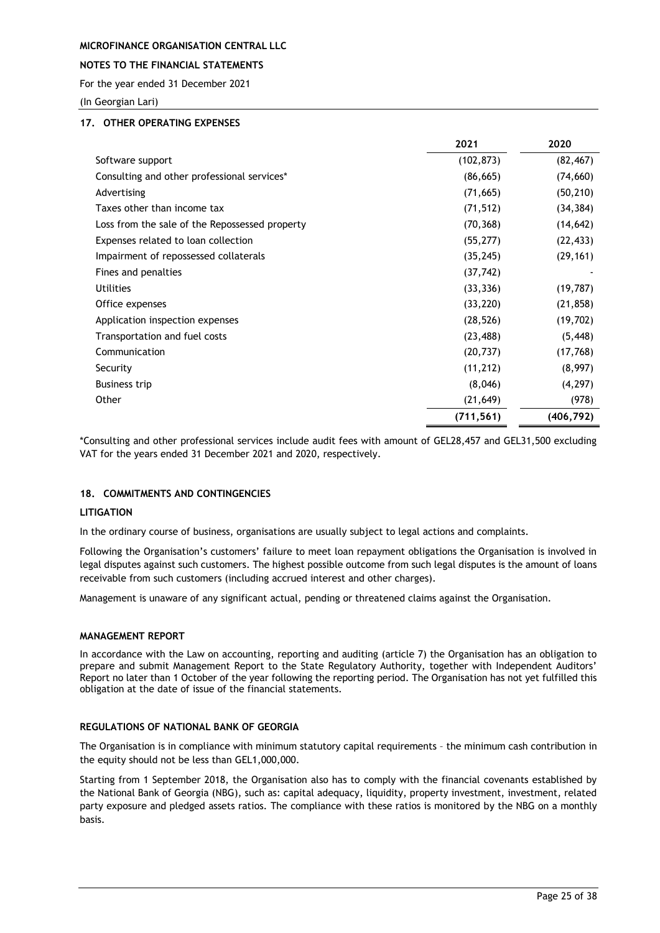### **NOTES TO THE FINANCIAL STATEMENTS**

For the year ended 31 December 2021

(In Georgian Lari)

### <span id="page-25-0"></span>**17. OTHER OPERATING EXPENSES**

|                                                | 2021       | 2020       |
|------------------------------------------------|------------|------------|
| Software support                               | (102, 873) | (82, 467)  |
| Consulting and other professional services*    | (86, 665)  | (74, 660)  |
| Advertising                                    | (71, 665)  | (50, 210)  |
| Taxes other than income tax                    | (71, 512)  | (34, 384)  |
| Loss from the sale of the Repossessed property | (70, 368)  | (14, 642)  |
| Expenses related to loan collection            | (55, 277)  | (22, 433)  |
| Impairment of repossessed collaterals          | (35, 245)  | (29, 161)  |
| Fines and penalties                            | (37, 742)  |            |
| <b>Utilities</b>                               | (33, 336)  | (19, 787)  |
| Office expenses                                | (33, 220)  | (21, 858)  |
| Application inspection expenses                | (28, 526)  | (19, 702)  |
| Transportation and fuel costs                  | (23, 488)  | (5, 448)   |
| Communication                                  | (20, 737)  | (17, 768)  |
| Security                                       | (11, 212)  | (8,997)    |
| <b>Business trip</b>                           | (8,046)    | (4, 297)   |
| Other                                          | (21, 649)  | (978)      |
|                                                | (711, 561) | (406, 792) |

\*Consulting and other professional services include audit fees with amount of GEL28,457 and GEL31,500 excluding VAT for the years ended 31 December 2021 and 2020, respectively.

### <span id="page-25-1"></span>**18. COMMITMENTS AND CONTINGENCIES**

### **LITIGATION**

In the ordinary course of business, organisations are usually subject to legal actions and complaints.

Following the Organisation's customers' failure to meet loan repayment obligations the Organisation is involved in legal disputes against such customers. The highest possible outcome from such legal disputes is the amount of loans receivable from such customers (including accrued interest and other charges).

Management is unaware of any significant actual, pending or threatened claims against the Organisation.

### **MANAGEMENT REPORT**

In accordance with the Law on accounting, reporting and auditing (article 7) the Organisation has an obligation to prepare and submit Management Report to the State Regulatory Authority, together with Independent Auditors' Report no later than 1 October of the year following the reporting period. The Organisation has not yet fulfilled this obligation at the date of issue of the financial statements.

### **REGULATIONS OF NATIONAL BANK OF GEORGIA**

The Organisation is in compliance with minimum statutory capital requirements – the minimum cash contribution in the equity should not be less than GEL1,000,000.

Starting from 1 September 2018, the Organisation also has to comply with the financial covenants established by the National Bank of Georgia (NBG), such as: capital adequacy, liquidity, property investment, investment, related party exposure and pledged assets ratios. The compliance with these ratios is monitored by the NBG on a monthly basis.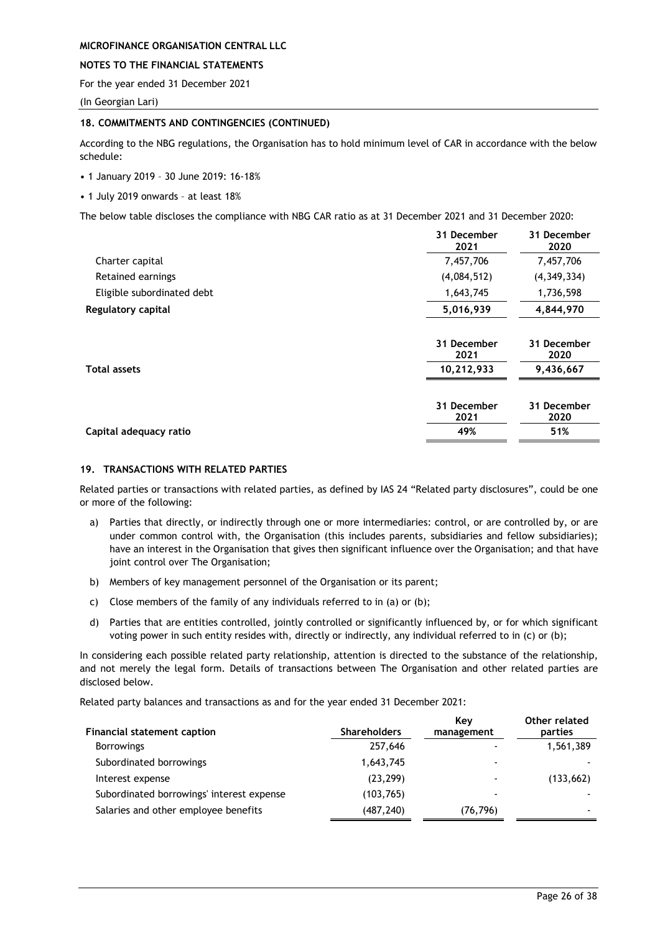### **NOTES TO THE FINANCIAL STATEMENTS**

For the year ended 31 December 2021

(In Georgian Lari)

#### **18. COMMITMENTS AND CONTINGENCIES (CONTINUED)**

According to the NBG regulations, the Organisation has to hold minimum level of CAR in accordance with the below schedule:

• 1 January 2019 – 30 June 2019: 16-18%

• 1 July 2019 onwards – at least 18%

The below table discloses the compliance with NBG CAR ratio as at 31 December 2021 and 31 December 2020:

|                            | 31 December<br>2021 | 31 December<br>2020 |
|----------------------------|---------------------|---------------------|
| Charter capital            | 7,457,706           | 7,457,706           |
| Retained earnings          | (4,084,512)         | (4,349,334)         |
| Eligible subordinated debt | 1,643,745           | 1,736,598           |
| Regulatory capital         | 5,016,939           | 4,844,970           |
|                            | 31 December<br>2021 | 31 December<br>2020 |
| <b>Total assets</b>        | 10,212,933          | 9,436,667           |
|                            | 31 December         | 31 December         |
|                            | 2021                | 2020                |
| Capital adequacy ratio     | 49%                 | 51%                 |

#### <span id="page-26-0"></span>**19. TRANSACTIONS WITH RELATED PARTIES**

Related parties or transactions with related parties, as defined by IAS 24 "Related party disclosures", could be one or more of the following:

- a) Parties that directly, or indirectly through one or more intermediaries: control, or are controlled by, or are under common control with, the Organisation (this includes parents, subsidiaries and fellow subsidiaries); have an interest in the Organisation that gives then significant influence over the Organisation; and that have joint control over The Organisation;
- b) Members of key management personnel of the Organisation or its parent;
- c) Close members of the family of any individuals referred to in (a) or (b);
- d) Parties that are entities controlled, jointly controlled or significantly influenced by, or for which significant voting power in such entity resides with, directly or indirectly, any individual referred to in (c) or (b);

In considering each possible related party relationship, attention is directed to the substance of the relationship, and not merely the legal form. Details of transactions between The Organisation and other related parties are disclosed below.

Related party balances and transactions as and for the year ended 31 December 2021:

| <b>Financial statement caption</b>        | <b>Shareholders</b> | Kev<br>management | Other related<br>parties |
|-------------------------------------------|---------------------|-------------------|--------------------------|
| <b>Borrowings</b>                         | 257,646             |                   | 1,561,389                |
| Subordinated borrowings                   | 1,643,745           | -                 |                          |
| Interest expense                          | (23, 299)           |                   | (133, 662)               |
| Subordinated borrowings' interest expense | (103, 765)          |                   |                          |
| Salaries and other employee benefits      | (487,240)           | (76, 796)         |                          |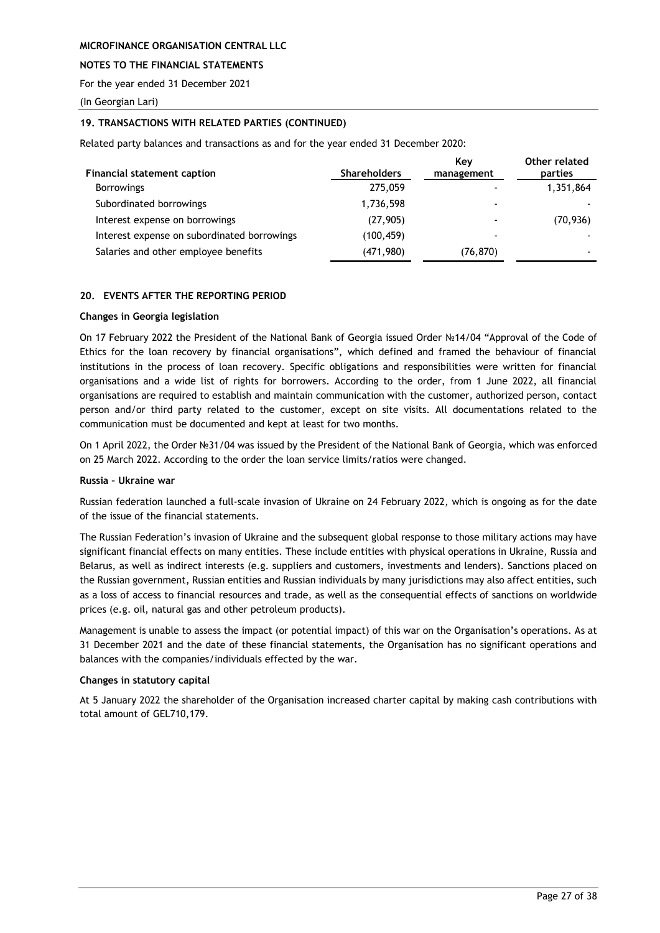### **NOTES TO THE FINANCIAL STATEMENTS**

For the year ended 31 December 2021

(In Georgian Lari)

### **19. TRANSACTIONS WITH RELATED PARTIES (CONTINUED)**

Related party balances and transactions as and for the year ended 31 December 2020:

| <b>Financial statement caption</b>          | <b>Shareholders</b> | Kev<br>management        | Other related<br>parties |
|---------------------------------------------|---------------------|--------------------------|--------------------------|
| <b>Borrowings</b>                           | 275,059             |                          | 1,351,864                |
| Subordinated borrowings                     | 1,736,598           |                          |                          |
| Interest expense on borrowings              | (27, 905)           |                          | (70, 936)                |
| Interest expense on subordinated borrowings | (100, 459)          | $\overline{\phantom{a}}$ |                          |
| Salaries and other employee benefits        | (471, 980)          | (76, 870)                |                          |

#### <span id="page-27-0"></span>**20. EVENTS AFTER THE REPORTING PERIOD**

#### **Changes in Georgia legislation**

On 17 February 2022 the President of the National Bank of Georgia issued Order №14/04 "Approval of the Code of Ethics for the loan recovery by financial organisations", which defined and framed the behaviour of financial institutions in the process of loan recovery. Specific obligations and responsibilities were written for financial organisations and a wide list of rights for borrowers. According to the order, from 1 June 2022, all financial organisations are required to establish and maintain communication with the customer, authorized person, contact person and/or third party related to the customer, except on site visits. All documentations related to the communication must be documented and kept at least for two months.

On 1 April 2022, the Order №31/04 was issued by the President of the National Bank of Georgia, which was enforced on 25 March 2022. According to the order the loan service limits/ratios were changed.

#### **Russia – Ukraine war**

Russian federation launched a full-scale invasion of Ukraine on 24 February 2022, which is ongoing as for the date of the issue of the financial statements.

The Russian Federation's invasion of Ukraine and the subsequent global response to those military actions may have significant financial effects on many entities. These include entities with physical operations in Ukraine, Russia and Belarus, as well as indirect interests (e.g. suppliers and customers, investments and lenders). Sanctions placed on the Russian government, Russian entities and Russian individuals by many jurisdictions may also affect entities, such as a loss of access to financial resources and trade, as well as the consequential effects of sanctions on worldwide prices (e.g. oil, natural gas and other petroleum products).

Management is unable to assess the impact (or potential impact) of this war on the Organisation's operations. As at 31 December 2021 and the date of these financial statements, the Organisation has no significant operations and balances with the companies/individuals effected by the war.

### **Changes in statutory capital**

At 5 January 2022 the shareholder of the Organisation increased charter capital by making cash contributions with total amount of GEL710,179.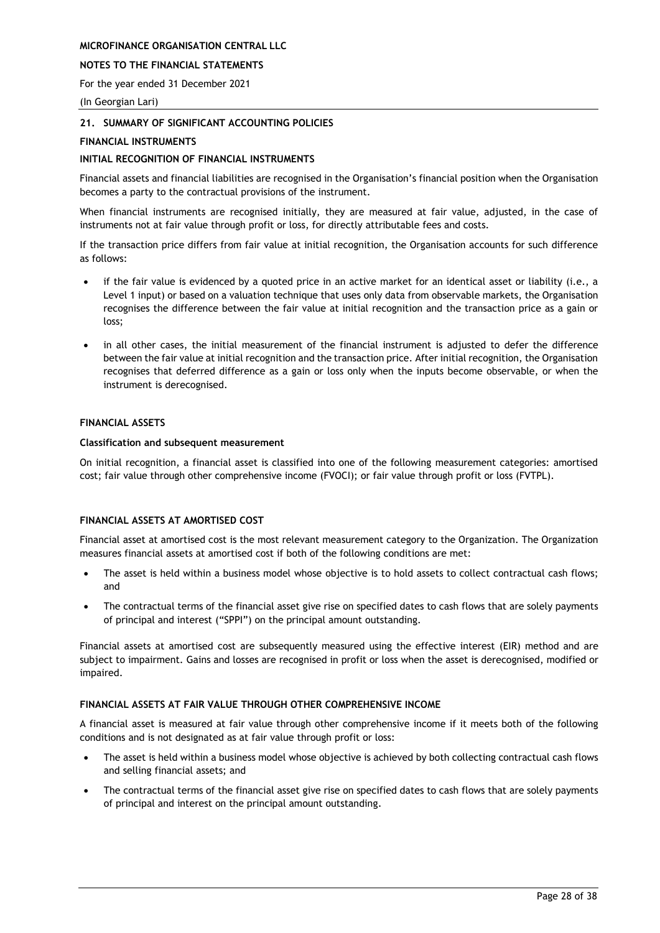### **NOTES TO THE FINANCIAL STATEMENTS**

For the year ended 31 December 2021

(In Georgian Lari)

### <span id="page-28-0"></span>**21. SUMMARY OF SIGNIFICANT ACCOUNTING POLICIES**

### **FINANCIAL INSTRUMENTS**

### **INITIAL RECOGNITION OF FINANCIAL INSTRUMENTS**

Financial assets and financial liabilities are recognised in the Organisation's financial position when the Organisation becomes a party to the contractual provisions of the instrument.

When financial instruments are recognised initially, they are measured at fair value, adjusted, in the case of instruments not at fair value through profit or loss, for directly attributable fees and costs.

If the transaction price differs from fair value at initial recognition, the Organisation accounts for such difference as follows:

- if the fair value is evidenced by a quoted price in an active market for an identical asset or liability (i.e., a Level 1 input) or based on a valuation technique that uses only data from observable markets, the Organisation recognises the difference between the fair value at initial recognition and the transaction price as a gain or loss;
- in all other cases, the initial measurement of the financial instrument is adjusted to defer the difference between the fair value at initial recognition and the transaction price. After initial recognition, the Organisation recognises that deferred difference as a gain or loss only when the inputs become observable, or when the instrument is derecognised.

### **FINANCIAL ASSETS**

### **Classification and subsequent measurement**

On initial recognition, a financial asset is classified into one of the following measurement categories: amortised cost; fair value through other comprehensive income (FVOCI); or fair value through profit or loss (FVTPL).

### **FINANCIAL ASSETS AT AMORTISED COST**

Financial asset at amortised cost is the most relevant measurement category to the Organization. The Organization measures financial assets at amortised cost if both of the following conditions are met:

- The asset is held within a business model whose objective is to hold assets to collect contractual cash flows; and
- The contractual terms of the financial asset give rise on specified dates to cash flows that are solely payments of principal and interest ("SPPI") on the principal amount outstanding.

Financial assets at amortised cost are subsequently measured using the effective interest (EIR) method and are subject to impairment. Gains and losses are recognised in profit or loss when the asset is derecognised, modified or impaired.

### **FINANCIAL ASSETS AT FAIR VALUE THROUGH OTHER COMPREHENSIVE INCOME**

A financial asset is measured at fair value through other comprehensive income if it meets both of the following conditions and is not designated as at fair value through profit or loss:

- The asset is held within a business model whose objective is achieved by both collecting contractual cash flows and selling financial assets; and
- The contractual terms of the financial asset give rise on specified dates to cash flows that are solely payments of principal and interest on the principal amount outstanding.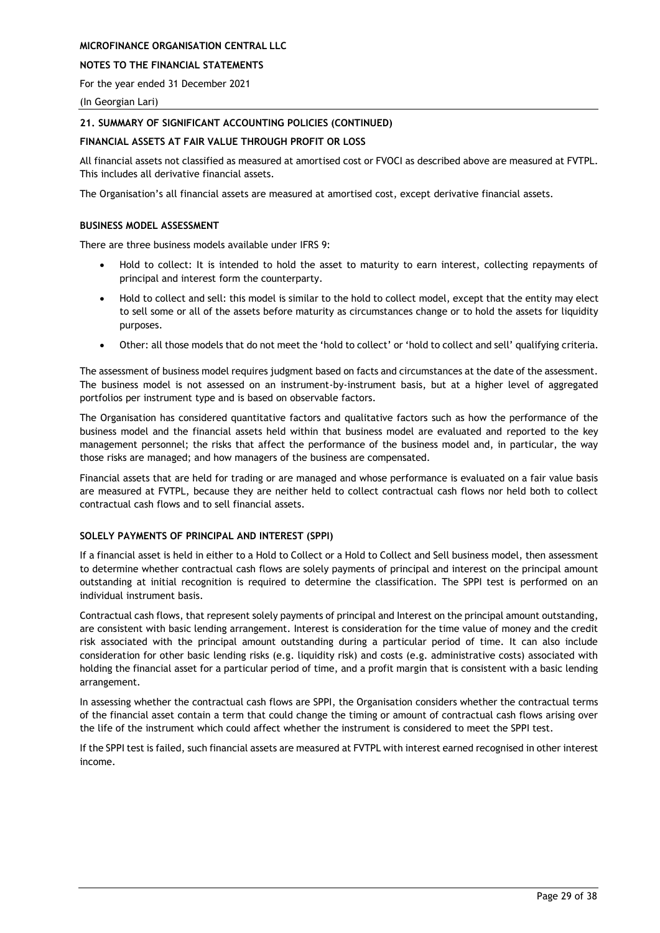### **NOTES TO THE FINANCIAL STATEMENTS**

For the year ended 31 December 2021

(In Georgian Lari)

### **21. SUMMARY OF SIGNIFICANT ACCOUNTING POLICIES (CONTINUED)**

### **FINANCIAL ASSETS AT FAIR VALUE THROUGH PROFIT OR LOSS**

All financial assets not classified as measured at amortised cost or FVOCI as described above are measured at FVTPL. This includes all derivative financial assets.

The Organisation's all financial assets are measured at amortised cost, except derivative financial assets.

### **BUSINESS MODEL ASSESSMENT**

There are three business models available under IFRS 9:

- Hold to collect: It is intended to hold the asset to maturity to earn interest, collecting repayments of principal and interest form the counterparty.
- Hold to collect and sell: this model is similar to the hold to collect model, except that the entity may elect to sell some or all of the assets before maturity as circumstances change or to hold the assets for liquidity purposes.
- Other: all those models that do not meet the 'hold to collect' or 'hold to collect and sell' qualifying criteria.

The assessment of business model requires judgment based on facts and circumstances at the date of the assessment. The business model is not assessed on an instrument-by-instrument basis, but at a higher level of aggregated portfolios per instrument type and is based on observable factors.

The Organisation has considered quantitative factors and qualitative factors such as how the performance of the business model and the financial assets held within that business model are evaluated and reported to the key management personnel; the risks that affect the performance of the business model and, in particular, the way those risks are managed; and how managers of the business are compensated.

Financial assets that are held for trading or are managed and whose performance is evaluated on a fair value basis are measured at FVTPL, because they are neither held to collect contractual cash flows nor held both to collect contractual cash flows and to sell financial assets.

### **SOLELY PAYMENTS OF PRINCIPAL AND INTEREST (SPPI)**

If a financial asset is held in either to a Hold to Collect or a Hold to Collect and Sell business model, then assessment to determine whether contractual cash flows are solely payments of principal and interest on the principal amount outstanding at initial recognition is required to determine the classification. The SPPI test is performed on an individual instrument basis.

Contractual cash flows, that represent solely payments of principal and Interest on the principal amount outstanding, are consistent with basic lending arrangement. Interest is consideration for the time value of money and the credit risk associated with the principal amount outstanding during a particular period of time. It can also include consideration for other basic lending risks (e.g. liquidity risk) and costs (e.g. administrative costs) associated with holding the financial asset for a particular period of time, and a profit margin that is consistent with a basic lending arrangement.

In assessing whether the contractual cash flows are SPPI, the Organisation considers whether the contractual terms of the financial asset contain a term that could change the timing or amount of contractual cash flows arising over the life of the instrument which could affect whether the instrument is considered to meet the SPPI test.

If the SPPI test is failed, such financial assets are measured at FVTPL with interest earned recognised in other interest income.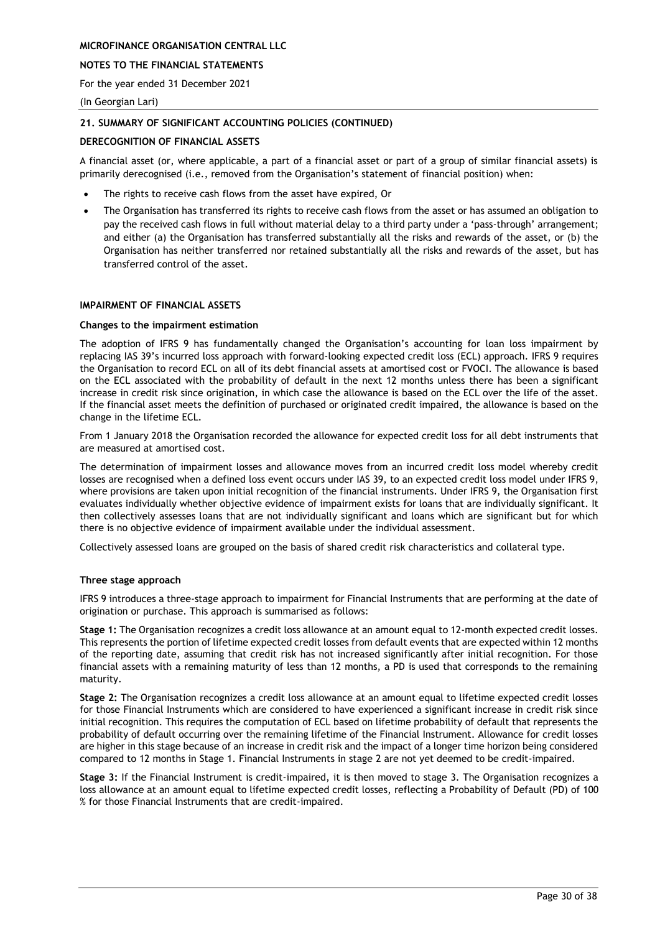### **NOTES TO THE FINANCIAL STATEMENTS**

For the year ended 31 December 2021

(In Georgian Lari)

### **21. SUMMARY OF SIGNIFICANT ACCOUNTING POLICIES (CONTINUED)**

### **DERECOGNITION OF FINANCIAL ASSETS**

A financial asset (or, where applicable, a part of a financial asset or part of a group of similar financial assets) is primarily derecognised (i.e., removed from the Organisation's statement of financial position) when:

- The rights to receive cash flows from the asset have expired, Or
- The Organisation has transferred its rights to receive cash flows from the asset or has assumed an obligation to pay the received cash flows in full without material delay to a third party under a 'pass-through' arrangement; and either (a) the Organisation has transferred substantially all the risks and rewards of the asset, or (b) the Organisation has neither transferred nor retained substantially all the risks and rewards of the asset, but has transferred control of the asset.

#### **IMPAIRMENT OF FINANCIAL ASSETS**

#### **Changes to the impairment estimation**

The adoption of IFRS 9 has fundamentally changed the Organisation's accounting for loan loss impairment by replacing IAS 39's incurred loss approach with forward-looking expected credit loss (ECL) approach. IFRS 9 requires the Organisation to record ECL on all of its debt financial assets at amortised cost or FVOCI. The allowance is based on the ECL associated with the probability of default in the next 12 months unless there has been a significant increase in credit risk since origination, in which case the allowance is based on the ECL over the life of the asset. If the financial asset meets the definition of purchased or originated credit impaired, the allowance is based on the change in the lifetime ECL.

From 1 January 2018 the Organisation recorded the allowance for expected credit loss for all debt instruments that are measured at amortised cost.

The determination of impairment losses and allowance moves from an incurred credit loss model whereby credit losses are recognised when a defined loss event occurs under IAS 39, to an expected credit loss model under IFRS 9, where provisions are taken upon initial recognition of the financial instruments. Under IFRS 9, the Organisation first evaluates individually whether objective evidence of impairment exists for loans that are individually significant. It then collectively assesses loans that are not individually significant and loans which are significant but for which there is no objective evidence of impairment available under the individual assessment.

Collectively assessed loans are grouped on the basis of shared credit risk characteristics and collateral type.

### **Three stage approach**

IFRS 9 introduces a three-stage approach to impairment for Financial Instruments that are performing at the date of origination or purchase. This approach is summarised as follows:

**Stage 1:** The Organisation recognizes a credit loss allowance at an amount equal to 12-month expected credit losses. This represents the portion of lifetime expected credit losses from default events that are expected within 12 months of the reporting date, assuming that credit risk has not increased significantly after initial recognition. For those financial assets with a remaining maturity of less than 12 months, a PD is used that corresponds to the remaining maturity.

**Stage 2:** The Organisation recognizes a credit loss allowance at an amount equal to lifetime expected credit losses for those Financial Instruments which are considered to have experienced a significant increase in credit risk since initial recognition. This requires the computation of ECL based on lifetime probability of default that represents the probability of default occurring over the remaining lifetime of the Financial Instrument. Allowance for credit losses are higher in this stage because of an increase in credit risk and the impact of a longer time horizon being considered compared to 12 months in Stage 1. Financial Instruments in stage 2 are not yet deemed to be credit-impaired.

**Stage 3:** If the Financial Instrument is credit-impaired, it is then moved to stage 3. The Organisation recognizes a loss allowance at an amount equal to lifetime expected credit losses, reflecting a Probability of Default (PD) of 100 % for those Financial Instruments that are credit-impaired.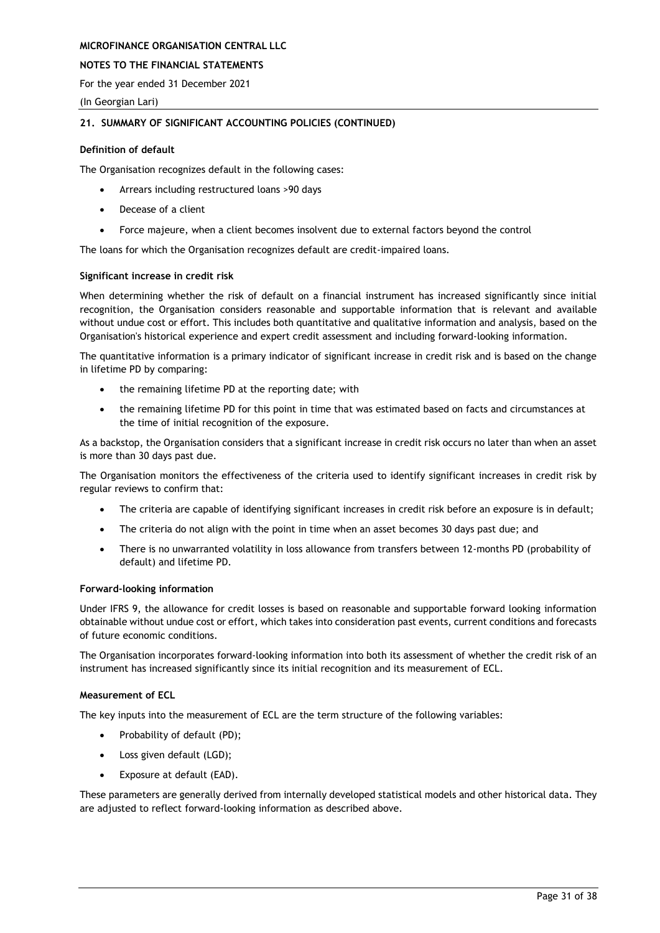### **NOTES TO THE FINANCIAL STATEMENTS**

For the year ended 31 December 2021

(In Georgian Lari)

### **21. SUMMARY OF SIGNIFICANT ACCOUNTING POLICIES (CONTINUED)**

#### **Definition of default**

The Organisation recognizes default in the following cases:

- Arrears including restructured loans >90 days
- Decease of a client
- Force majeure, when a client becomes insolvent due to external factors beyond the control

The loans for which the Organisation recognizes default are credit-impaired loans.

#### **Significant increase in credit risk**

When determining whether the risk of default on a financial instrument has increased significantly since initial recognition, the Organisation considers reasonable and supportable information that is relevant and available without undue cost or effort. This includes both quantitative and qualitative information and analysis, based on the Organisation's historical experience and expert credit assessment and including forward-looking information.

The quantitative information is a primary indicator of significant increase in credit risk and is based on the change in lifetime PD by comparing:

- the remaining lifetime PD at the reporting date; with
- the remaining lifetime PD for this point in time that was estimated based on facts and circumstances at the time of initial recognition of the exposure.

As a backstop, the Organisation considers that a significant increase in credit risk occurs no later than when an asset is more than 30 days past due.

The Organisation monitors the effectiveness of the criteria used to identify significant increases in credit risk by regular reviews to confirm that:

- The criteria are capable of identifying significant increases in credit risk before an exposure is in default;
- The criteria do not align with the point in time when an asset becomes 30 days past due; and
- There is no unwarranted volatility in loss allowance from transfers between 12-months PD (probability of default) and lifetime PD.

#### **Forward-looking information**

Under IFRS 9, the allowance for credit losses is based on reasonable and supportable forward looking information obtainable without undue cost or effort, which takes into consideration past events, current conditions and forecasts of future economic conditions.

The Organisation incorporates forward-looking information into both its assessment of whether the credit risk of an instrument has increased significantly since its initial recognition and its measurement of ECL.

#### **Measurement of ECL**

The key inputs into the measurement of ECL are the term structure of the following variables:

- Probability of default (PD);
- Loss given default (LGD);
- Exposure at default (EAD).

These parameters are generally derived from internally developed statistical models and other historical data. They are adjusted to reflect forward-looking information as described above.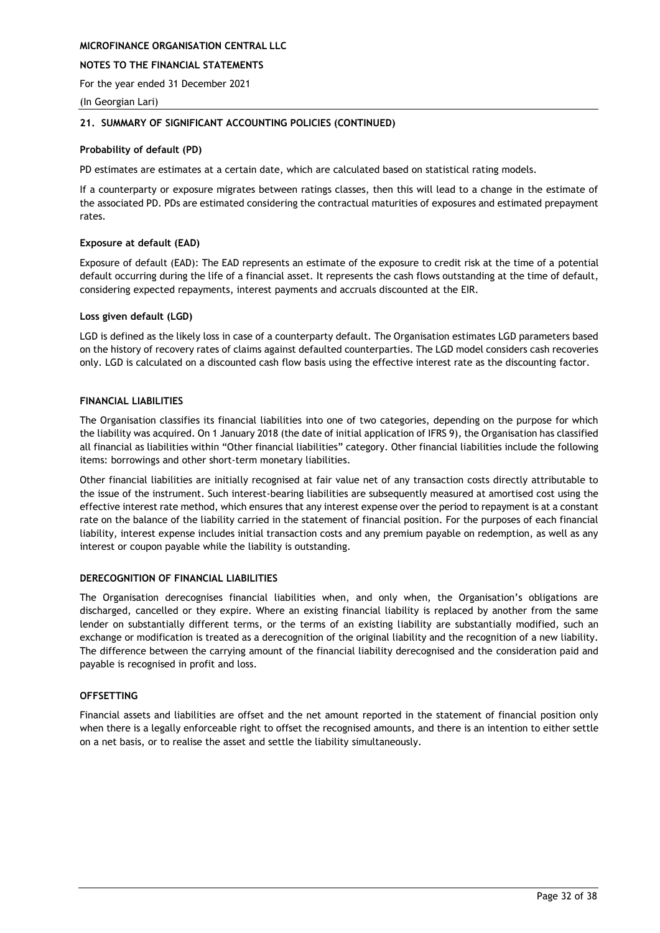### **NOTES TO THE FINANCIAL STATEMENTS**

For the year ended 31 December 2021

(In Georgian Lari)

### **21. SUMMARY OF SIGNIFICANT ACCOUNTING POLICIES (CONTINUED)**

### **Probability of default (PD)**

PD estimates are estimates at a certain date, which are calculated based on statistical rating models.

If a counterparty or exposure migrates between ratings classes, then this will lead to a change in the estimate of the associated PD. PDs are estimated considering the contractual maturities of exposures and estimated prepayment rates.

### **Exposure at default (EAD)**

Exposure of default (EAD): The EAD represents an estimate of the exposure to credit risk at the time of a potential default occurring during the life of a financial asset. It represents the cash flows outstanding at the time of default, considering expected repayments, interest payments and accruals discounted at the EIR.

#### **Loss given default (LGD)**

LGD is defined as the likely loss in case of a counterparty default. The Organisation estimates LGD parameters based on the history of recovery rates of claims against defaulted counterparties. The LGD model considers cash recoveries only. LGD is calculated on a discounted cash flow basis using the effective interest rate as the discounting factor.

### **FINANCIAL LIABILITIES**

The Organisation classifies its financial liabilities into one of two categories, depending on the purpose for which the liability was acquired. On 1 January 2018 (the date of initial application of IFRS 9), the Organisation has classified all financial as liabilities within "Other financial liabilities" category. Other financial liabilities include the following items: borrowings and other short-term monetary liabilities.

Other financial liabilities are initially recognised at fair value net of any transaction costs directly attributable to the issue of the instrument. Such interest-bearing liabilities are subsequently measured at amortised cost using the effective interest rate method, which ensures that any interest expense over the period to repayment is at a constant rate on the balance of the liability carried in the statement of financial position. For the purposes of each financial liability, interest expense includes initial transaction costs and any premium payable on redemption, as well as any interest or coupon payable while the liability is outstanding.

### **DERECOGNITION OF FINANCIAL LIABILITIES**

The Organisation derecognises financial liabilities when, and only when, the Organisation's obligations are discharged, cancelled or they expire. Where an existing financial liability is replaced by another from the same lender on substantially different terms, or the terms of an existing liability are substantially modified, such an exchange or modification is treated as a derecognition of the original liability and the recognition of a new liability. The difference between the carrying amount of the financial liability derecognised and the consideration paid and payable is recognised in profit and loss.

### **OFFSETTING**

Financial assets and liabilities are offset and the net amount reported in the statement of financial position only when there is a legally enforceable right to offset the recognised amounts, and there is an intention to either settle on a net basis, or to realise the asset and settle the liability simultaneously.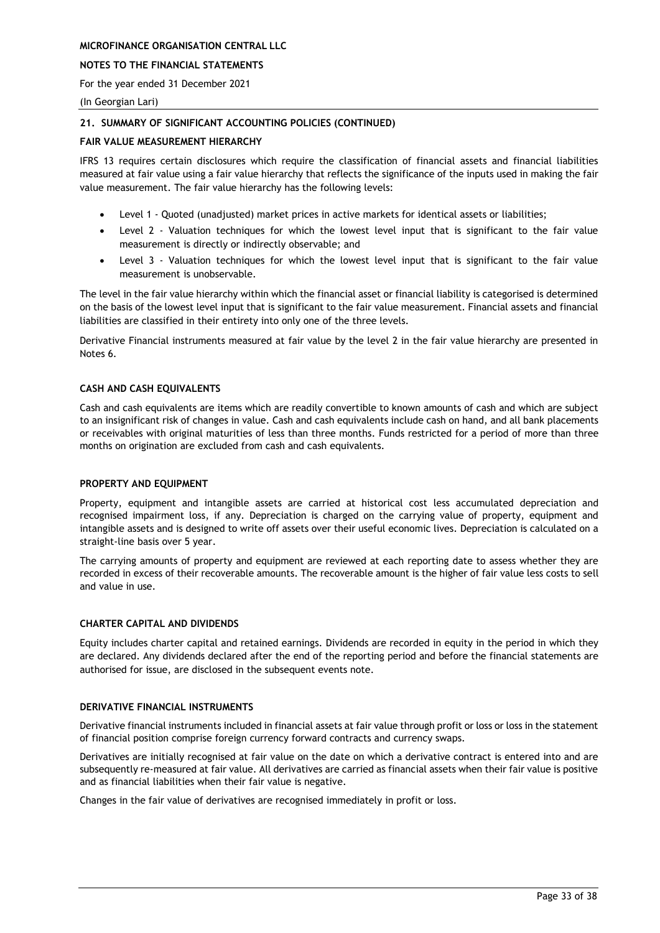### **NOTES TO THE FINANCIAL STATEMENTS**

For the year ended 31 December 2021

(In Georgian Lari)

### **21. SUMMARY OF SIGNIFICANT ACCOUNTING POLICIES (CONTINUED)**

### **FAIR VALUE MEASUREMENT HIERARCHY**

IFRS 13 requires certain disclosures which require the classification of financial assets and financial liabilities measured at fair value using a fair value hierarchy that reflects the significance of the inputs used in making the fair value measurement. The fair value hierarchy has the following levels:

- Level 1 Quoted (unadjusted) market prices in active markets for identical assets or liabilities;
- Level 2 Valuation techniques for which the lowest level input that is significant to the fair value measurement is directly or indirectly observable; and
- Level 3 Valuation techniques for which the lowest level input that is significant to the fair value measurement is unobservable.

The level in the fair value hierarchy within which the financial asset or financial liability is categorised is determined on the basis of the lowest level input that is significant to the fair value measurement. Financial assets and financial liabilities are classified in their entirety into only one of the three levels.

Derivative Financial instruments measured at fair value by the level 2 in the fair value hierarchy are presented in Notes 6.

### **CASH AND CASH EQUIVALENTS**

Cash and cash equivalents are items which are readily convertible to known amounts of cash and which are subject to an insignificant risk of changes in value. Cash and cash equivalents include cash on hand, and all bank placements or receivables with original maturities of less than three months. Funds restricted for a period of more than three months on origination are excluded from cash and cash equivalents.

#### **PROPERTY AND EQUIPMENT**

Property, equipment and intangible assets are carried at historical cost less accumulated depreciation and recognised impairment loss, if any. Depreciation is charged on the carrying value of property, equipment and intangible assets and is designed to write off assets over their useful economic lives. Depreciation is calculated on a straight-line basis over 5 year.

The carrying amounts of property and equipment are reviewed at each reporting date to assess whether they are recorded in excess of their recoverable amounts. The recoverable amount is the higher of fair value less costs to sell and value in use.

### **CHARTER CAPITAL AND DIVIDENDS**

Equity includes charter capital and retained earnings. Dividends are recorded in equity in the period in which they are declared. Any dividends declared after the end of the reporting period and before the financial statements are authorised for issue, are disclosed in the subsequent events note.

#### **DERIVATIVE FINANCIAL INSTRUMENTS**

Derivative financial instruments included in financial assets at fair value through profit or loss or loss in the statement of financial position comprise foreign currency forward contracts and currency swaps.

Derivatives are initially recognised at fair value on the date on which a derivative contract is entered into and are subsequently re-measured at fair value. All derivatives are carried as financial assets when their fair value is positive and as financial liabilities when their fair value is negative.

Changes in the fair value of derivatives are recognised immediately in profit or loss.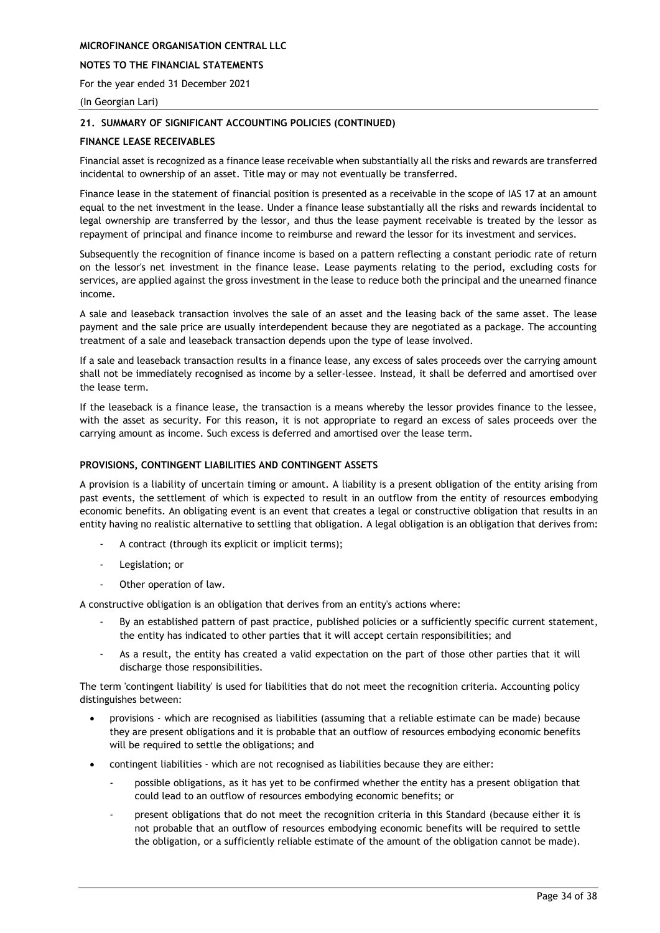### **NOTES TO THE FINANCIAL STATEMENTS**

For the year ended 31 December 2021

(In Georgian Lari)

### **21. SUMMARY OF SIGNIFICANT ACCOUNTING POLICIES (CONTINUED)**

### **FINANCE LEASE RECEIVABLES**

Financial asset is recognized as a finance lease receivable when substantially all the risks and rewards are transferred incidental to ownership of an asset. Title may or may not eventually be transferred.

Finance lease in the statement of financial position is presented as a receivable in the scope of IAS 17 at an amount equal to the net investment in the lease. Under a finance lease substantially all the risks and rewards incidental to legal ownership are transferred by the lessor, and thus the lease payment receivable is treated by the lessor as repayment of principal and finance income to reimburse and reward the lessor for its investment and services.

Subsequently the recognition of finance income is based on a pattern reflecting a constant periodic rate of return on the lessor's net investment in the finance lease. Lease payments relating to the period, excluding costs for services, are applied against the gross investment in the lease to reduce both the principal and the unearned finance income.

A sale and leaseback transaction involves the sale of an asset and the leasing back of the same asset. The lease payment and the sale price are usually interdependent because they are negotiated as a package. The accounting treatment of a sale and leaseback transaction depends upon the type of lease involved.

If a sale and leaseback transaction results in a finance lease, any excess of sales proceeds over the carrying amount shall not be immediately recognised as income by a seller-lessee. Instead, it shall be deferred and amortised over the lease term.

If the leaseback is a finance lease, the transaction is a means whereby the lessor provides finance to the lessee, with the asset as security. For this reason, it is not appropriate to regard an excess of sales proceeds over the carrying amount as income. Such excess is deferred and amortised over the lease term.

### **PROVISIONS, CONTINGENT LIABILITIES AND CONTINGENT ASSETS**

A provision is a liability of uncertain timing or amount. A liability is a present obligation of the entity arising from past events, the settlement of which is expected to result in an outflow from the entity of resources embodying economic benefits. An obligating event is an event that creates a legal or constructive obligation that results in an entity having no realistic alternative to settling that obligation. A legal obligation is an obligation that derives from:

- A contract (through its explicit or implicit terms);
- Legislation; or
- Other operation of law.

A constructive obligation is an obligation that derives from an entity's actions where:

- By an established pattern of past practice, published policies or a sufficiently specific current statement, the entity has indicated to other parties that it will accept certain responsibilities; and
- As a result, the entity has created a valid expectation on the part of those other parties that it will discharge those responsibilities.

The term 'contingent liability' is used for liabilities that do not meet the recognition criteria. Accounting policy distinguishes between:

- provisions which are recognised as liabilities (assuming that a reliable estimate can be made) because they are present obligations and it is probable that an outflow of resources embodying economic benefits will be required to settle the obligations; and
- contingent liabilities which are not recognised as liabilities because they are either:
	- possible obligations, as it has yet to be confirmed whether the entity has a present obligation that could lead to an outflow of resources embodying economic benefits; or
	- present obligations that do not meet the recognition criteria in this Standard (because either it is not probable that an outflow of resources embodying economic benefits will be required to settle the obligation, or a sufficiently reliable estimate of the amount of the obligation cannot be made).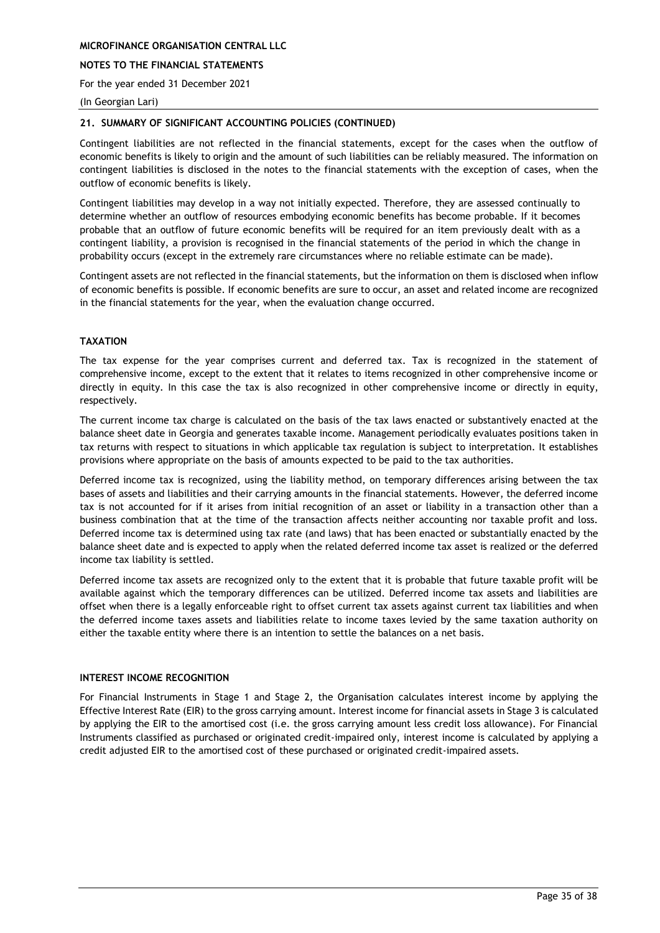### **NOTES TO THE FINANCIAL STATEMENTS**

For the year ended 31 December 2021

#### (In Georgian Lari)

### **21. SUMMARY OF SIGNIFICANT ACCOUNTING POLICIES (CONTINUED)**

Contingent liabilities are not reflected in the financial statements, except for the cases when the outflow of economic benefits is likely to origin and the amount of such liabilities can be reliably measured. The information on contingent liabilities is disclosed in the notes to the financial statements with the exception of cases, when the outflow of economic benefits is likely.

Contingent liabilities may develop in a way not initially expected. Therefore, they are assessed continually to determine whether an outflow of resources embodying economic benefits has become probable. If it becomes probable that an outflow of future economic benefits will be required for an item previously dealt with as a contingent liability, a provision is recognised in the financial statements of the period in which the change in probability occurs (except in the extremely rare circumstances where no reliable estimate can be made).

Contingent assets are not reflected in the financial statements, but the information on them is disclosed when inflow of economic benefits is possible. If economic benefits are sure to occur, an asset and related income are recognized in the financial statements for the year, when the evaluation change occurred.

### **TAXATION**

The tax expense for the year comprises current and deferred tax. Tax is recognized in the statement of comprehensive income, except to the extent that it relates to items recognized in other comprehensive income or directly in equity. In this case the tax is also recognized in other comprehensive income or directly in equity, respectively.

The current income tax charge is calculated on the basis of the tax laws enacted or substantively enacted at the balance sheet date in Georgia and generates taxable income. Management periodically evaluates positions taken in tax returns with respect to situations in which applicable tax regulation is subject to interpretation. It establishes provisions where appropriate on the basis of amounts expected to be paid to the tax authorities.

Deferred income tax is recognized, using the liability method, on temporary differences arising between the tax bases of assets and liabilities and their carrying amounts in the financial statements. However, the deferred income tax is not accounted for if it arises from initial recognition of an asset or liability in a transaction other than a business combination that at the time of the transaction affects neither accounting nor taxable profit and loss. Deferred income tax is determined using tax rate (and laws) that has been enacted or substantially enacted by the balance sheet date and is expected to apply when the related deferred income tax asset is realized or the deferred income tax liability is settled.

Deferred income tax assets are recognized only to the extent that it is probable that future taxable profit will be available against which the temporary differences can be utilized. Deferred income tax assets and liabilities are offset when there is a legally enforceable right to offset current tax assets against current tax liabilities and when the deferred income taxes assets and liabilities relate to income taxes levied by the same taxation authority on either the taxable entity where there is an intention to settle the balances on a net basis.

### **INTEREST INCOME RECOGNITION**

For Financial Instruments in Stage 1 and Stage 2, the Organisation calculates interest income by applying the Effective Interest Rate (EIR) to the gross carrying amount. Interest income for financial assets in Stage 3 is calculated by applying the EIR to the amortised cost (i.e. the gross carrying amount less credit loss allowance). For Financial Instruments classified as purchased or originated credit-impaired only, interest income is calculated by applying a credit adjusted EIR to the amortised cost of these purchased or originated credit-impaired assets.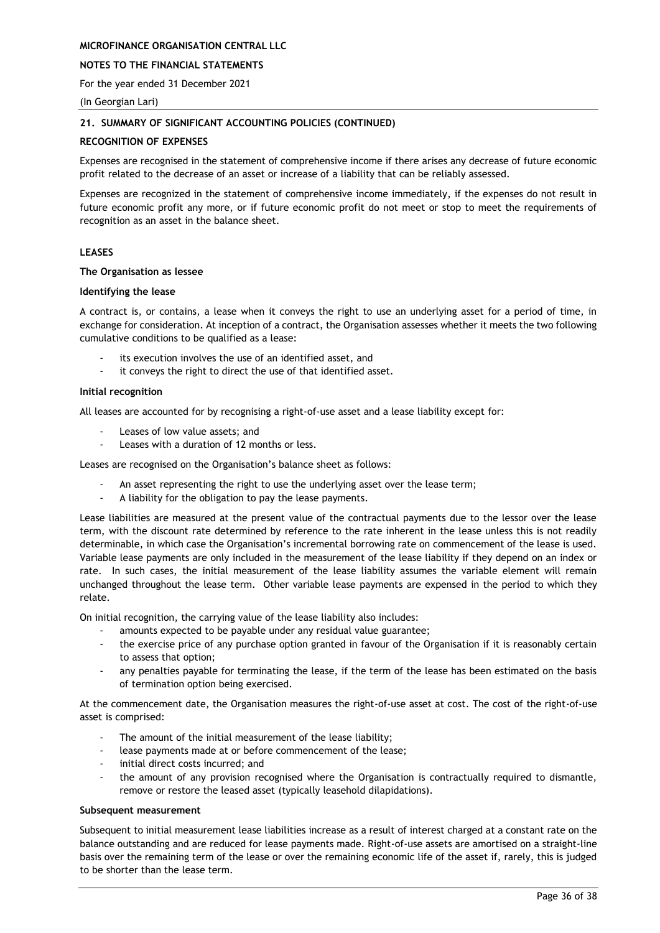### **NOTES TO THE FINANCIAL STATEMENTS**

For the year ended 31 December 2021

(In Georgian Lari)

### **21. SUMMARY OF SIGNIFICANT ACCOUNTING POLICIES (CONTINUED)**

### **RECOGNITION OF EXPENSES**

Expenses are recognised in the statement of comprehensive income if there arises any decrease of future economic profit related to the decrease of an asset or increase of a liability that can be reliably assessed.

Expenses are recognized in the statement of comprehensive income immediately, if the expenses do not result in future economic profit any more, or if future economic profit do not meet or stop to meet the requirements of recognition as an asset in the balance sheet.

### **LEASES**

#### **The Organisation as lessee**

#### **Identifying the lease**

A contract is, or contains, a lease when it conveys the right to use an underlying asset for a period of time, in exchange for consideration. At inception of a contract, the Organisation assesses whether it meets the two following cumulative conditions to be qualified as a lease:

- its execution involves the use of an identified asset, and
- it conveys the right to direct the use of that identified asset.

#### **Initial recognition**

All leases are accounted for by recognising a right-of-use asset and a lease liability except for:

- Leases of low value assets; and
- Leases with a duration of 12 months or less.

Leases are recognised on the Organisation's balance sheet as follows:

- An asset representing the right to use the underlying asset over the lease term;
- A liability for the obligation to pay the lease payments.

Lease liabilities are measured at the present value of the contractual payments due to the lessor over the lease term, with the discount rate determined by reference to the rate inherent in the lease unless this is not readily determinable, in which case the Organisation's incremental borrowing rate on commencement of the lease is used. Variable lease payments are only included in the measurement of the lease liability if they depend on an index or rate. In such cases, the initial measurement of the lease liability assumes the variable element will remain unchanged throughout the lease term. Other variable lease payments are expensed in the period to which they relate.

On initial recognition, the carrying value of the lease liability also includes:

- amounts expected to be payable under any residual value guarantee;
- the exercise price of any purchase option granted in favour of the Organisation if it is reasonably certain to assess that option;
- any penalties payable for terminating the lease, if the term of the lease has been estimated on the basis of termination option being exercised.

At the commencement date, the Organisation measures the right-of-use asset at cost. The cost of the right-of-use asset is comprised:

- The amount of the initial measurement of the lease liability;
- lease payments made at or before commencement of the lease;
- initial direct costs incurred; and
- the amount of any provision recognised where the Organisation is contractually required to dismantle, remove or restore the leased asset (typically leasehold dilapidations).

### **Subsequent measurement**

Subsequent to initial measurement lease liabilities increase as a result of interest charged at a constant rate on the balance outstanding and are reduced for lease payments made. Right-of-use assets are amortised on a straight-line basis over the remaining term of the lease or over the remaining economic life of the asset if, rarely, this is judged to be shorter than the lease term.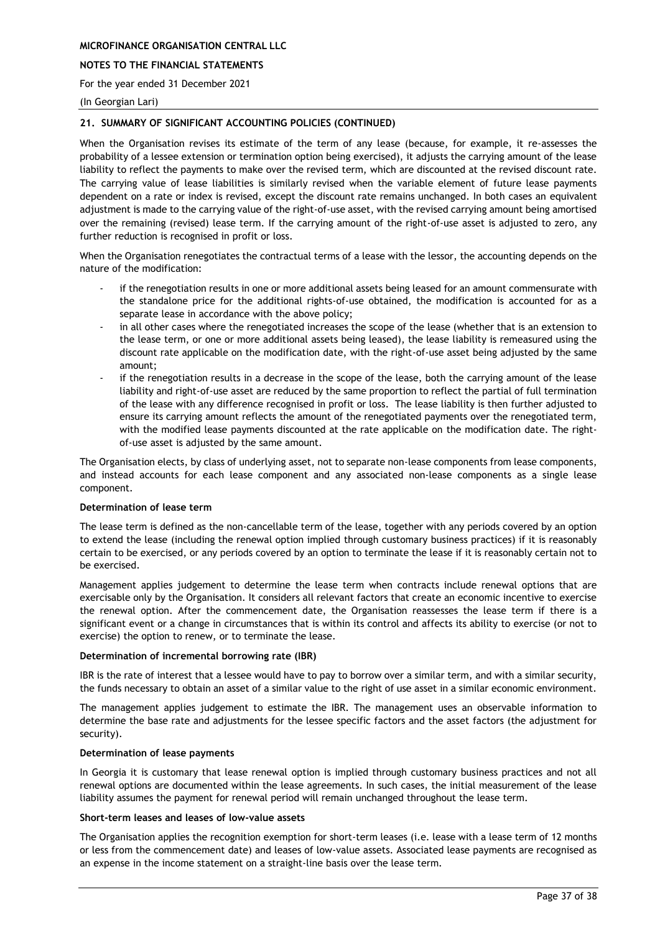### **NOTES TO THE FINANCIAL STATEMENTS**

For the year ended 31 December 2021

#### (In Georgian Lari)

### **21. SUMMARY OF SIGNIFICANT ACCOUNTING POLICIES (CONTINUED)**

When the Organisation revises its estimate of the term of any lease (because, for example, it re-assesses the probability of a lessee extension or termination option being exercised), it adjusts the carrying amount of the lease liability to reflect the payments to make over the revised term, which are discounted at the revised discount rate. The carrying value of lease liabilities is similarly revised when the variable element of future lease payments dependent on a rate or index is revised, except the discount rate remains unchanged. In both cases an equivalent adjustment is made to the carrying value of the right-of-use asset, with the revised carrying amount being amortised over the remaining (revised) lease term. If the carrying amount of the right-of-use asset is adjusted to zero, any further reduction is recognised in profit or loss.

When the Organisation renegotiates the contractual terms of a lease with the lessor, the accounting depends on the nature of the modification:

- if the renegotiation results in one or more additional assets being leased for an amount commensurate with the standalone price for the additional rights-of-use obtained, the modification is accounted for as a separate lease in accordance with the above policy;
- in all other cases where the renegotiated increases the scope of the lease (whether that is an extension to the lease term, or one or more additional assets being leased), the lease liability is remeasured using the discount rate applicable on the modification date, with the right-of-use asset being adjusted by the same amount;
- if the renegotiation results in a decrease in the scope of the lease, both the carrying amount of the lease liability and right-of-use asset are reduced by the same proportion to reflect the partial of full termination of the lease with any difference recognised in profit or loss. The lease liability is then further adjusted to ensure its carrying amount reflects the amount of the renegotiated payments over the renegotiated term, with the modified lease payments discounted at the rate applicable on the modification date. The rightof-use asset is adjusted by the same amount.

The Organisation elects, by class of underlying asset, not to separate non-lease components from lease components, and instead accounts for each lease component and any associated non-lease components as a single lease component.

#### **Determination of lease term**

The lease term is defined as the non-cancellable term of the lease, together with any periods covered by an option to extend the lease (including the renewal option implied through customary business practices) if it is reasonably certain to be exercised, or any periods covered by an option to terminate the lease if it is reasonably certain not to be exercised.

Management applies judgement to determine the lease term when contracts include renewal options that are exercisable only by the Organisation. It considers all relevant factors that create an economic incentive to exercise the renewal option. After the commencement date, the Organisation reassesses the lease term if there is a significant event or a change in circumstances that is within its control and affects its ability to exercise (or not to exercise) the option to renew, or to terminate the lease.

#### **Determination of incremental borrowing rate (IBR)**

IBR is the rate of interest that a lessee would have to pay to borrow over a similar term, and with a similar security, the funds necessary to obtain an asset of a similar value to the right of use asset in a similar economic environment.

The management applies judgement to estimate the IBR. The management uses an observable information to determine the base rate and adjustments for the lessee specific factors and the asset factors (the adjustment for security).

#### **Determination of lease payments**

In Georgia it is customary that lease renewal option is implied through customary business practices and not all renewal options are documented within the lease agreements. In such cases, the initial measurement of the lease liability assumes the payment for renewal period will remain unchanged throughout the lease term.

### **Short-term leases and leases of low-value assets**

The Organisation applies the recognition exemption for short-term leases (i.e. lease with a lease term of 12 months or less from the commencement date) and leases of low-value assets. Associated lease payments are recognised as an expense in the income statement on a straight-line basis over the lease term.